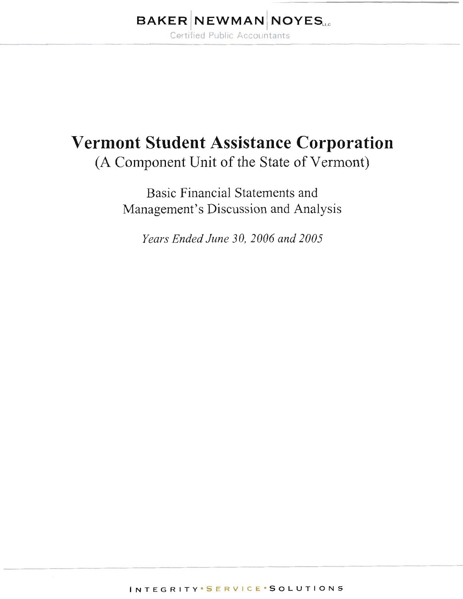# **BAKER NEWMAN NOYES**

Certified Public Accountants

# **Vermont Student Assistance Corporation** (A Component Unit of the State of Vermont)

Basic Financial Statements and Management's Discussion and Analysis

Years Ended June 30, 2006 and 2005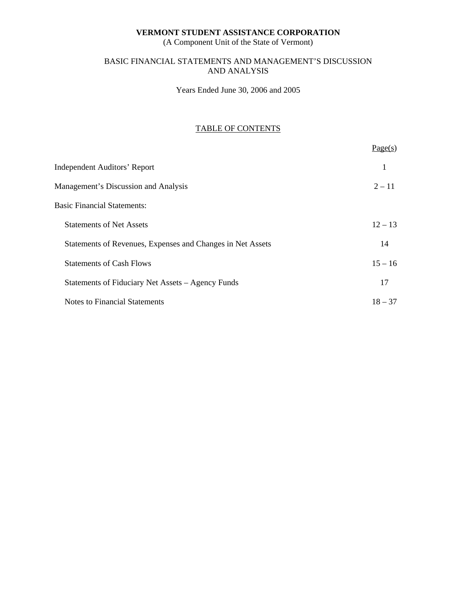(A Component Unit of the State of Vermont)

# BASIC FINANCIAL STATEMENTS AND MANAGEMENT'S DISCUSSION AND ANALYSIS

Years Ended June 30, 2006 and 2005

# TABLE OF CONTENTS

|                                                            | Page(s)   |
|------------------------------------------------------------|-----------|
| <b>Independent Auditors' Report</b>                        | 1         |
| Management's Discussion and Analysis                       | $2 - 11$  |
| <b>Basic Financial Statements:</b>                         |           |
| <b>Statements of Net Assets</b>                            | $12 - 13$ |
| Statements of Revenues, Expenses and Changes in Net Assets | 14        |
| <b>Statements of Cash Flows</b>                            | $15 - 16$ |
| Statements of Fiduciary Net Assets – Agency Funds          | 17        |
| <b>Notes to Financial Statements</b>                       | $18 - 37$ |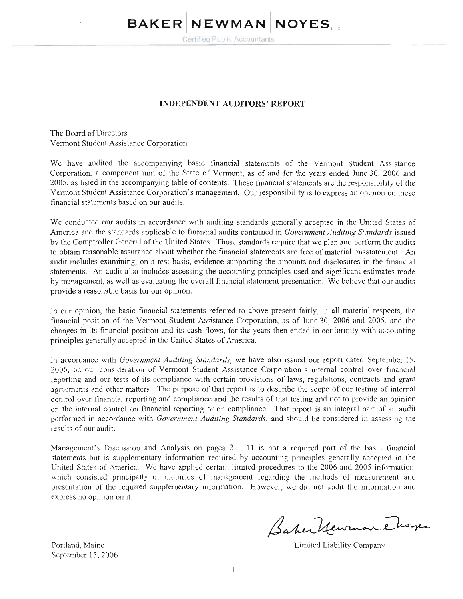# **BAKER NEWMAN NOYES...**

Certified Public Accountants

# **INDEPENDENT AUDITORS' REPORT**

The Board of Directors Vermont Student Assistance Corporation

We have audited the accompanying basic financial statements of the Vermont Student Assistance Corporation, a component unit of the State of Vermont, as of and for the years ended June 30, 2006 and 2005, as listed in the accompanying table of contents. These financial statements are the responsibility of the Vermont Student Assistance Corporation's management. Our responsibility is to express an opinion on these financial statements based on our audits.

We conducted our audits in accordance with auditing standards generally accepted in the United States of America and the standards applicable to financial audits contained in Government Auditing Standards issued by the Comptroller General of the United States. Those standards require that we plan and perform the audits to obtain reasonable assurance about whether the financial statements are free of material misstatement. An audit includes examining, on a test basis, evidence supporting the amounts and disclosures in the financial statements. An audit also includes assessing the accounting principles used and significant estimates made by management, as well as evaluating the overall financial statement presentation. We believe that our audits provide a reasonable basis for our opinion.

In our opinion, the basic financial statements referred to above present fairly, in all material respects, the financial position of the Vermont Student Assistance Corporation, as of June 30, 2006 and 2005, and the changes in its financial position and its cash flows, for the years then ended in conformity with accounting principles generally accepted in the United States of America.

In accordance with Government Auditing Standards, we have also issued our report dated September 15, 2006, on our consideration of Vermont Student Assistance Corporation's internal control over financial reporting and our tests of its compliance with certain provisions of laws, regulations, contracts and grant agreements and other matters. The purpose of that report is to describe the scope of our testing of internal control over financial reporting and compliance and the results of that testing and not to provide an opinion on the internal control on financial reporting or on compliance. That report is an integral part of an audit performed in accordance with Government Auditing Standards, and should be considered in assessing the results of our audit.

Management's Discussion and Analysis on pages  $2 - 11$  is not a required part of the basic financial statements but is supplementary information required by accounting principles generally accepted in the United States of America. We have applied certain limited procedures to the 2006 and 2005 information, which consisted principally of inquiries of management regarding the methods of measurement and presentation of the required supplementary information. However, we did not audit the information and express no opinion on it.

Portland, Maine September 15, 2006

Baher Hewrman Elisyes

Limited Liability Company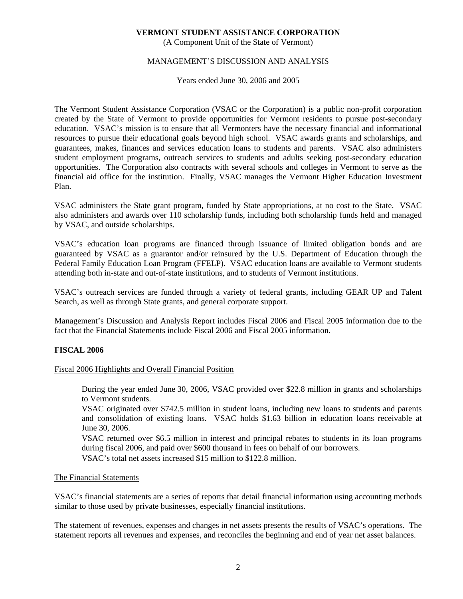(A Component Unit of the State of Vermont)

## MANAGEMENT'S DISCUSSION AND ANALYSIS

Years ended June 30, 2006 and 2005

The Vermont Student Assistance Corporation (VSAC or the Corporation) is a public non-profit corporation created by the State of Vermont to provide opportunities for Vermont residents to pursue post-secondary education. VSAC's mission is to ensure that all Vermonters have the necessary financial and informational resources to pursue their educational goals beyond high school. VSAC awards grants and scholarships, and guarantees, makes, finances and services education loans to students and parents. VSAC also administers student employment programs, outreach services to students and adults seeking post-secondary education opportunities. The Corporation also contracts with several schools and colleges in Vermont to serve as the financial aid office for the institution. Finally, VSAC manages the Vermont Higher Education Investment Plan.

VSAC administers the State grant program, funded by State appropriations, at no cost to the State. VSAC also administers and awards over 110 scholarship funds, including both scholarship funds held and managed by VSAC, and outside scholarships.

VSAC's education loan programs are financed through issuance of limited obligation bonds and are guaranteed by VSAC as a guarantor and/or reinsured by the U.S. Department of Education through the Federal Family Education Loan Program (FFELP). VSAC education loans are available to Vermont students attending both in-state and out-of-state institutions, and to students of Vermont institutions.

VSAC's outreach services are funded through a variety of federal grants, including GEAR UP and Talent Search, as well as through State grants, and general corporate support.

Management's Discussion and Analysis Report includes Fiscal 2006 and Fiscal 2005 information due to the fact that the Financial Statements include Fiscal 2006 and Fiscal 2005 information.

# **FISCAL 2006**

# Fiscal 2006 Highlights and Overall Financial Position

During the year ended June 30, 2006, VSAC provided over \$22.8 million in grants and scholarships to Vermont students.

VSAC originated over \$742.5 million in student loans, including new loans to students and parents and consolidation of existing loans. VSAC holds \$1.63 billion in education loans receivable at June 30, 2006.

VSAC returned over \$6.5 million in interest and principal rebates to students in its loan programs during fiscal 2006, and paid over \$600 thousand in fees on behalf of our borrowers.

VSAC's total net assets increased \$15 million to \$122.8 million.

#### The Financial Statements

VSAC's financial statements are a series of reports that detail financial information using accounting methods similar to those used by private businesses, especially financial institutions.

The statement of revenues, expenses and changes in net assets presents the results of VSAC's operations. The statement reports all revenues and expenses, and reconciles the beginning and end of year net asset balances.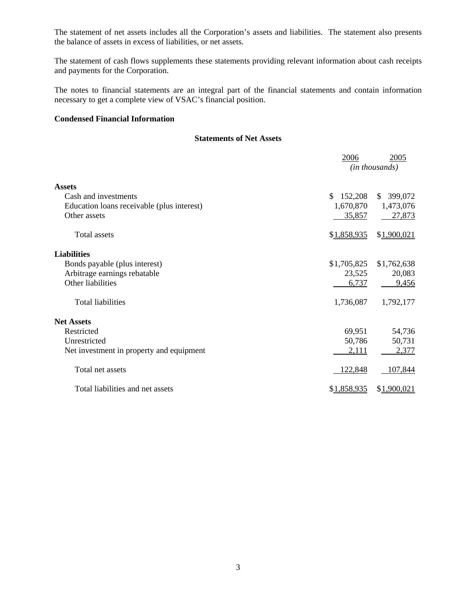The statement of net assets includes all the Corporation's assets and liabilities. The statement also presents the balance of assets in excess of liabilities, or net assets.

The statement of cash flows supplements these statements providing relevant information about cash receipts and payments for the Corporation.

The notes to financial statements are an integral part of the financial statements and contain information necessary to get a complete view of VSAC's financial position.

# **Condensed Financial Information**

# **Statements of Net Assets**

|                                            | 2006           | 2005           |
|--------------------------------------------|----------------|----------------|
|                                            |                | (in thousands) |
| <b>Assets</b>                              |                |                |
| Cash and investments                       | 152,208<br>\$. | \$ 399,072     |
| Education loans receivable (plus interest) | 1,670,870      | 1,473,076      |
| Other assets                               | 35,857         | 27,873         |
| <b>Total assets</b>                        | \$1,858,935    | \$1,900,021    |
| <b>Liabilities</b>                         |                |                |
| Bonds payable (plus interest)              | \$1,705,825    | \$1,762,638    |
| Arbitrage earnings rebatable               | 23,525         | 20,083         |
| Other liabilities                          | 6,737          | 9,456          |
| <b>Total liabilities</b>                   | 1,736,087      | 1,792,177      |
| <b>Net Assets</b>                          |                |                |
| Restricted                                 | 69,951         | 54,736         |
| Unrestricted                               | 50,786         | 50,731         |
| Net investment in property and equipment   | 2,111          | 2,377          |
| Total net assets                           | 122,848        | 107,844        |
| Total liabilities and net assets           | \$1,858,935    | \$1,900,021    |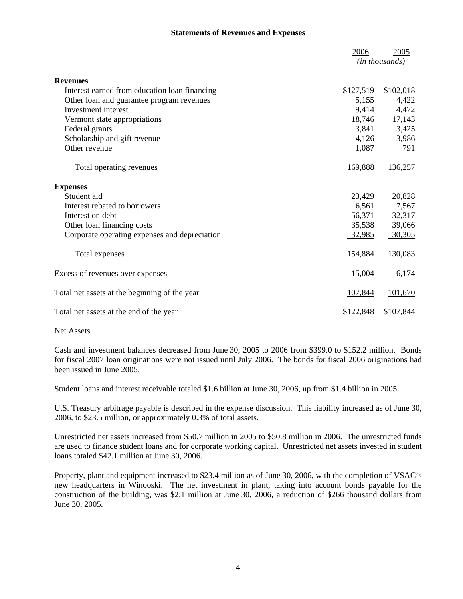# **Statements of Revenues and Expenses**

|                                               | 2006      | 2005           |
|-----------------------------------------------|-----------|----------------|
|                                               |           | (in thousands) |
| <b>Revenues</b>                               |           |                |
| Interest earned from education loan financing | \$127,519 | \$102,018      |
| Other loan and guarantee program revenues     | 5,155     | 4,422          |
| Investment interest                           | 9,414     | 4,472          |
| Vermont state appropriations                  | 18,746    | 17,143         |
| Federal grants                                | 3,841     | 3,425          |
| Scholarship and gift revenue                  | 4,126     | 3,986          |
| Other revenue                                 | 1,087     | 791            |
| Total operating revenues                      | 169,888   | 136,257        |
| <b>Expenses</b>                               |           |                |
| Student aid                                   | 23,429    | 20,828         |
| Interest rebated to borrowers                 | 6,561     | 7,567          |
| Interest on debt                              | 56,371    | 32,317         |
| Other loan financing costs                    | 35,538    | 39,066         |
| Corporate operating expenses and depreciation | 32,985    | 30,305         |
| Total expenses                                | 154,884   | 130,083        |
| Excess of revenues over expenses              | 15,004    | 6,174          |
| Total net assets at the beginning of the year | 107,844   | 101,670        |
| Total net assets at the end of the year       | \$122,848 | \$107,844      |

#### Net Assets

Cash and investment balances decreased from June 30, 2005 to 2006 from \$399.0 to \$152.2 million. Bonds for fiscal 2007 loan originations were not issued until July 2006. The bonds for fiscal 2006 originations had been issued in June 2005.

Student loans and interest receivable totaled \$1.6 billion at June 30, 2006, up from \$1.4 billion in 2005.

U.S. Treasury arbitrage payable is described in the expense discussion. This liability increased as of June 30, 2006, to \$23.5 million, or approximately 0.3% of total assets.

Unrestricted net assets increased from \$50.7 million in 2005 to \$50.8 million in 2006. The unrestricted funds are used to finance student loans and for corporate working capital. Unrestricted net assets invested in student loans totaled \$42.1 million at June 30, 2006.

Property, plant and equipment increased to \$23.4 million as of June 30, 2006, with the completion of VSAC's new headquarters in Winooski. The net investment in plant, taking into account bonds payable for the construction of the building, was \$2.1 million at June 30, 2006, a reduction of \$266 thousand dollars from June 30, 2005.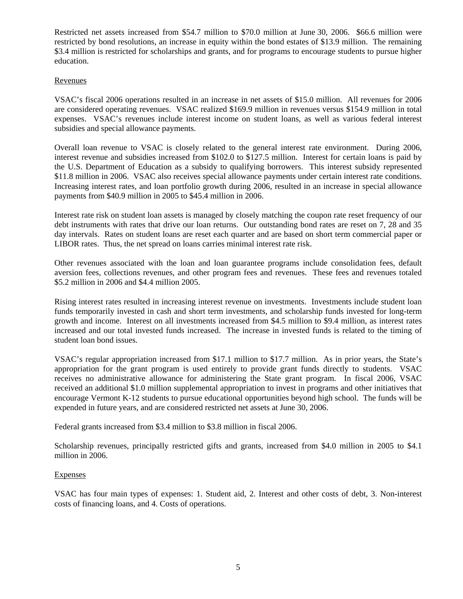Restricted net assets increased from \$54.7 million to \$70.0 million at June 30, 2006. \$66.6 million were restricted by bond resolutions, an increase in equity within the bond estates of \$13.9 million. The remaining \$3.4 million is restricted for scholarships and grants, and for programs to encourage students to pursue higher education.

# Revenues

VSAC's fiscal 2006 operations resulted in an increase in net assets of \$15.0 million. All revenues for 2006 are considered operating revenues. VSAC realized \$169.9 million in revenues versus \$154.9 million in total expenses. VSAC's revenues include interest income on student loans, as well as various federal interest subsidies and special allowance payments.

Overall loan revenue to VSAC is closely related to the general interest rate environment. During 2006, interest revenue and subsidies increased from \$102.0 to \$127.5 million. Interest for certain loans is paid by the U.S. Department of Education as a subsidy to qualifying borrowers. This interest subsidy represented \$11.8 million in 2006. VSAC also receives special allowance payments under certain interest rate conditions. Increasing interest rates, and loan portfolio growth during 2006, resulted in an increase in special allowance payments from \$40.9 million in 2005 to \$45.4 million in 2006.

Interest rate risk on student loan assets is managed by closely matching the coupon rate reset frequency of our debt instruments with rates that drive our loan returns. Our outstanding bond rates are reset on 7, 28 and 35 day intervals. Rates on student loans are reset each quarter and are based on short term commercial paper or LIBOR rates. Thus, the net spread on loans carries minimal interest rate risk.

Other revenues associated with the loan and loan guarantee programs include consolidation fees, default aversion fees, collections revenues, and other program fees and revenues. These fees and revenues totaled \$5.2 million in 2006 and \$4.4 million 2005.

Rising interest rates resulted in increasing interest revenue on investments. Investments include student loan funds temporarily invested in cash and short term investments, and scholarship funds invested for long-term growth and income. Interest on all investments increased from \$4.5 million to \$9.4 million, as interest rates increased and our total invested funds increased. The increase in invested funds is related to the timing of student loan bond issues.

VSAC's regular appropriation increased from \$17.1 million to \$17.7 million. As in prior years, the State's appropriation for the grant program is used entirely to provide grant funds directly to students. VSAC receives no administrative allowance for administering the State grant program. In fiscal 2006, VSAC received an additional \$1.0 million supplemental appropriation to invest in programs and other initiatives that encourage Vermont K-12 students to pursue educational opportunities beyond high school. The funds will be expended in future years, and are considered restricted net assets at June 30, 2006.

Federal grants increased from \$3.4 million to \$3.8 million in fiscal 2006.

Scholarship revenues, principally restricted gifts and grants, increased from \$4.0 million in 2005 to \$4.1 million in 2006.

#### Expenses

VSAC has four main types of expenses: 1. Student aid, 2. Interest and other costs of debt, 3. Non-interest costs of financing loans, and 4. Costs of operations.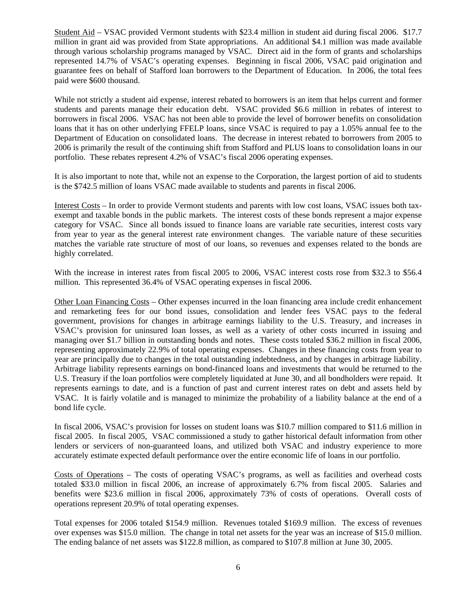Student Aid – VSAC provided Vermont students with \$23.4 million in student aid during fiscal 2006. \$17.7 million in grant aid was provided from State appropriations. An additional \$4.1 million was made available through various scholarship programs managed by VSAC. Direct aid in the form of grants and scholarships represented 14.7% of VSAC's operating expenses. Beginning in fiscal 2006, VSAC paid origination and guarantee fees on behalf of Stafford loan borrowers to the Department of Education. In 2006, the total fees paid were \$600 thousand.

While not strictly a student aid expense, interest rebated to borrowers is an item that helps current and former students and parents manage their education debt. VSAC provided \$6.6 million in rebates of interest to borrowers in fiscal 2006. VSAC has not been able to provide the level of borrower benefits on consolidation loans that it has on other underlying FFELP loans, since VSAC is required to pay a 1.05% annual fee to the Department of Education on consolidated loans. The decrease in interest rebated to borrowers from 2005 to 2006 is primarily the result of the continuing shift from Stafford and PLUS loans to consolidation loans in our portfolio. These rebates represent 4.2% of VSAC's fiscal 2006 operating expenses.

It is also important to note that, while not an expense to the Corporation, the largest portion of aid to students is the \$742.5 million of loans VSAC made available to students and parents in fiscal 2006.

Interest Costs – In order to provide Vermont students and parents with low cost loans, VSAC issues both taxexempt and taxable bonds in the public markets. The interest costs of these bonds represent a major expense category for VSAC. Since all bonds issued to finance loans are variable rate securities, interest costs vary from year to year as the general interest rate environment changes. The variable nature of these securities matches the variable rate structure of most of our loans, so revenues and expenses related to the bonds are highly correlated.

With the increase in interest rates from fiscal 2005 to 2006, VSAC interest costs rose from \$32.3 to \$56.4 million. This represented 36.4% of VSAC operating expenses in fiscal 2006.

Other Loan Financing Costs – Other expenses incurred in the loan financing area include credit enhancement and remarketing fees for our bond issues, consolidation and lender fees VSAC pays to the federal government, provisions for changes in arbitrage earnings liability to the U.S. Treasury, and increases in VSAC's provision for uninsured loan losses, as well as a variety of other costs incurred in issuing and managing over \$1.7 billion in outstanding bonds and notes. These costs totaled \$36.2 million in fiscal 2006, representing approximately 22.9% of total operating expenses. Changes in these financing costs from year to year are principally due to changes in the total outstanding indebtedness, and by changes in arbitrage liability. Arbitrage liability represents earnings on bond-financed loans and investments that would be returned to the U.S. Treasury if the loan portfolios were completely liquidated at June 30, and all bondholders were repaid. It represents earnings to date, and is a function of past and current interest rates on debt and assets held by VSAC. It is fairly volatile and is managed to minimize the probability of a liability balance at the end of a bond life cycle.

In fiscal 2006, VSAC's provision for losses on student loans was \$10.7 million compared to \$11.6 million in fiscal 2005. In fiscal 2005, VSAC commissioned a study to gather historical default information from other lenders or servicers of non-guaranteed loans, and utilized both VSAC and industry experience to more accurately estimate expected default performance over the entire economic life of loans in our portfolio.

Costs of Operations – The costs of operating VSAC's programs, as well as facilities and overhead costs totaled \$33.0 million in fiscal 2006, an increase of approximately 6.7% from fiscal 2005. Salaries and benefits were \$23.6 million in fiscal 2006, approximately 73% of costs of operations. Overall costs of operations represent 20.9% of total operating expenses.

Total expenses for 2006 totaled \$154.9 million. Revenues totaled \$169.9 million. The excess of revenues over expenses was \$15.0 million. The change in total net assets for the year was an increase of \$15.0 million. The ending balance of net assets was \$122.8 million, as compared to \$107.8 million at June 30, 2005.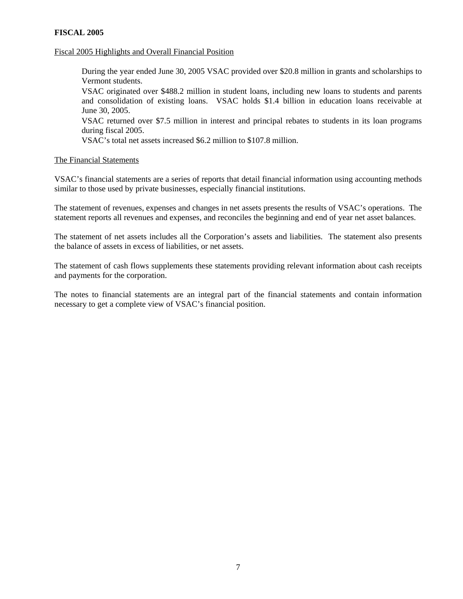## Fiscal 2005 Highlights and Overall Financial Position

During the year ended June 30, 2005 VSAC provided over \$20.8 million in grants and scholarships to Vermont students.

VSAC originated over \$488.2 million in student loans, including new loans to students and parents and consolidation of existing loans. VSAC holds \$1.4 billion in education loans receivable at June 30, 2005.

VSAC returned over \$7.5 million in interest and principal rebates to students in its loan programs during fiscal 2005.

VSAC's total net assets increased \$6.2 million to \$107.8 million.

## The Financial Statements

VSAC's financial statements are a series of reports that detail financial information using accounting methods similar to those used by private businesses, especially financial institutions.

The statement of revenues, expenses and changes in net assets presents the results of VSAC's operations. The statement reports all revenues and expenses, and reconciles the beginning and end of year net asset balances.

The statement of net assets includes all the Corporation's assets and liabilities. The statement also presents the balance of assets in excess of liabilities, or net assets.

The statement of cash flows supplements these statements providing relevant information about cash receipts and payments for the corporation.

The notes to financial statements are an integral part of the financial statements and contain information necessary to get a complete view of VSAC's financial position.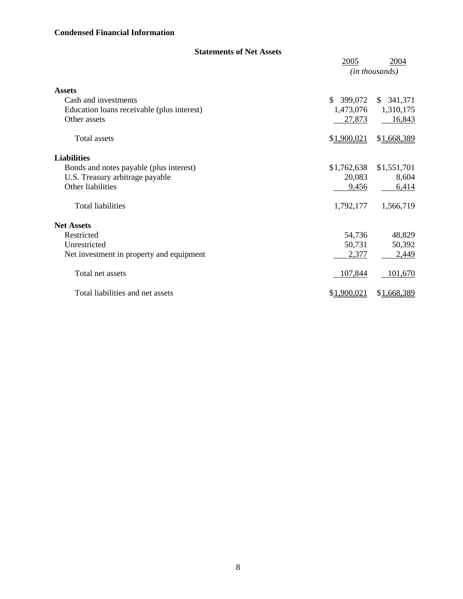| <b>Statements of Net Assets</b>            |             |                         |
|--------------------------------------------|-------------|-------------------------|
|                                            | 2005        | 2004                    |
|                                            |             | ( <i>in thousands</i> ) |
| <b>Assets</b>                              |             |                         |
| Cash and investments                       | \$399,072   | \$341,371               |
| Education loans receivable (plus interest) | 1,473,076   | 1,310,175               |
| Other assets                               | 27,873      | 16,843                  |
| Total assets                               | \$1,900,021 | \$1,668,389             |
| <b>Liabilities</b>                         |             |                         |
| Bonds and notes payable (plus interest)    | \$1,762,638 | \$1,551,701             |
| U.S. Treasury arbitrage payable            | 20,083      | 8,604                   |
| Other liabilities                          | 9,456       | 6,414                   |
| <b>Total liabilities</b>                   | 1,792,177   | 1,566,719               |
| <b>Net Assets</b>                          |             |                         |
| Restricted                                 | 54,736      | 48,829                  |
| Unrestricted                               | 50,731      | 50,392                  |
| Net investment in property and equipment   | 2,377       | 2,449                   |
| Total net assets                           | 107,844     | 101,670                 |
| Total liabilities and net assets           | \$1,900,021 | \$1,668,389             |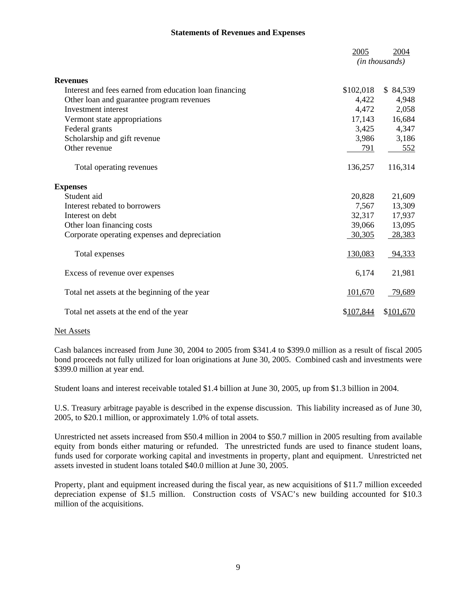# **Statements of Revenues and Expenses**

|                                                        | 2005      | 2004           |
|--------------------------------------------------------|-----------|----------------|
|                                                        |           | (in thousands) |
| <b>Revenues</b>                                        |           |                |
| Interest and fees earned from education loan financing | \$102,018 | \$84,539       |
| Other loan and guarantee program revenues              | 4,422     | 4,948          |
| Investment interest                                    | 4,472     | 2,058          |
| Vermont state appropriations                           | 17,143    | 16,684         |
| Federal grants                                         | 3,425     | 4,347          |
| Scholarship and gift revenue                           | 3,986     | 3,186          |
| Other revenue                                          | 791       | 552            |
| Total operating revenues                               | 136,257   | 116,314        |
| <b>Expenses</b>                                        |           |                |
| Student aid                                            | 20,828    | 21,609         |
| Interest rebated to borrowers                          | 7,567     | 13,309         |
| Interest on debt                                       | 32,317    | 17,937         |
| Other loan financing costs                             | 39,066    | 13,095         |
| Corporate operating expenses and depreciation          | 30,305    | 28,383         |
| Total expenses                                         | 130,083   | 94,333         |
| Excess of revenue over expenses                        | 6,174     | 21,981         |
| Total net assets at the beginning of the year          | 101,670   | 79,689         |
| Total net assets at the end of the year                | \$107,844 | \$101,670      |

#### Net Assets

Cash balances increased from June 30, 2004 to 2005 from \$341.4 to \$399.0 million as a result of fiscal 2005 bond proceeds not fully utilized for loan originations at June 30, 2005. Combined cash and investments were \$399.0 million at year end.

Student loans and interest receivable totaled \$1.4 billion at June 30, 2005, up from \$1.3 billion in 2004.

U.S. Treasury arbitrage payable is described in the expense discussion. This liability increased as of June 30, 2005, to \$20.1 million, or approximately 1.0% of total assets.

Unrestricted net assets increased from \$50.4 million in 2004 to \$50.7 million in 2005 resulting from available equity from bonds either maturing or refunded. The unrestricted funds are used to finance student loans, funds used for corporate working capital and investments in property, plant and equipment. Unrestricted net assets invested in student loans totaled \$40.0 million at June 30, 2005.

Property, plant and equipment increased during the fiscal year, as new acquisitions of \$11.7 million exceeded depreciation expense of \$1.5 million. Construction costs of VSAC's new building accounted for \$10.3 million of the acquisitions.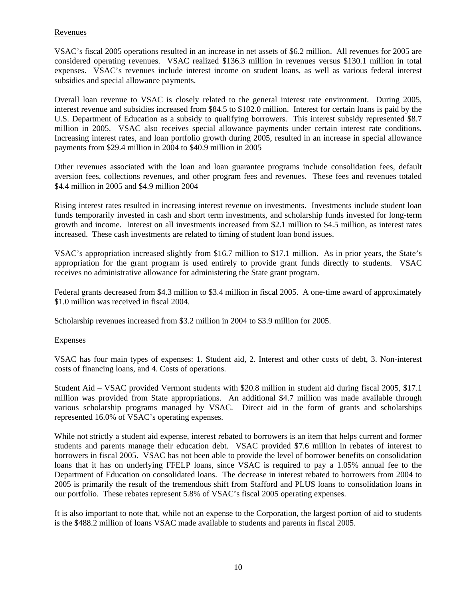# Revenues

VSAC's fiscal 2005 operations resulted in an increase in net assets of \$6.2 million. All revenues for 2005 are considered operating revenues. VSAC realized \$136.3 million in revenues versus \$130.1 million in total expenses. VSAC's revenues include interest income on student loans, as well as various federal interest subsidies and special allowance payments.

Overall loan revenue to VSAC is closely related to the general interest rate environment. During 2005, interest revenue and subsidies increased from \$84.5 to \$102.0 million. Interest for certain loans is paid by the U.S. Department of Education as a subsidy to qualifying borrowers. This interest subsidy represented \$8.7 million in 2005. VSAC also receives special allowance payments under certain interest rate conditions. Increasing interest rates, and loan portfolio growth during 2005, resulted in an increase in special allowance payments from \$29.4 million in 2004 to \$40.9 million in 2005

Other revenues associated with the loan and loan guarantee programs include consolidation fees, default aversion fees, collections revenues, and other program fees and revenues. These fees and revenues totaled \$4.4 million in 2005 and \$4.9 million 2004

Rising interest rates resulted in increasing interest revenue on investments. Investments include student loan funds temporarily invested in cash and short term investments, and scholarship funds invested for long-term growth and income. Interest on all investments increased from \$2.1 million to \$4.5 million, as interest rates increased. These cash investments are related to timing of student loan bond issues.

VSAC's appropriation increased slightly from \$16.7 million to \$17.1 million. As in prior years, the State's appropriation for the grant program is used entirely to provide grant funds directly to students. VSAC receives no administrative allowance for administering the State grant program.

Federal grants decreased from \$4.3 million to \$3.4 million in fiscal 2005. A one-time award of approximately \$1.0 million was received in fiscal 2004.

Scholarship revenues increased from \$3.2 million in 2004 to \$3.9 million for 2005.

# Expenses

VSAC has four main types of expenses: 1. Student aid, 2. Interest and other costs of debt, 3. Non-interest costs of financing loans, and 4. Costs of operations.

Student Aid – VSAC provided Vermont students with \$20.8 million in student aid during fiscal 2005, \$17.1 million was provided from State appropriations. An additional \$4.7 million was made available through various scholarship programs managed by VSAC. Direct aid in the form of grants and scholarships represented 16.0% of VSAC's operating expenses.

While not strictly a student aid expense, interest rebated to borrowers is an item that helps current and former students and parents manage their education debt. VSAC provided \$7.6 million in rebates of interest to borrowers in fiscal 2005. VSAC has not been able to provide the level of borrower benefits on consolidation loans that it has on underlying FFELP loans, since VSAC is required to pay a 1.05% annual fee to the Department of Education on consolidated loans. The decrease in interest rebated to borrowers from 2004 to 2005 is primarily the result of the tremendous shift from Stafford and PLUS loans to consolidation loans in our portfolio. These rebates represent 5.8% of VSAC's fiscal 2005 operating expenses.

It is also important to note that, while not an expense to the Corporation, the largest portion of aid to students is the \$488.2 million of loans VSAC made available to students and parents in fiscal 2005.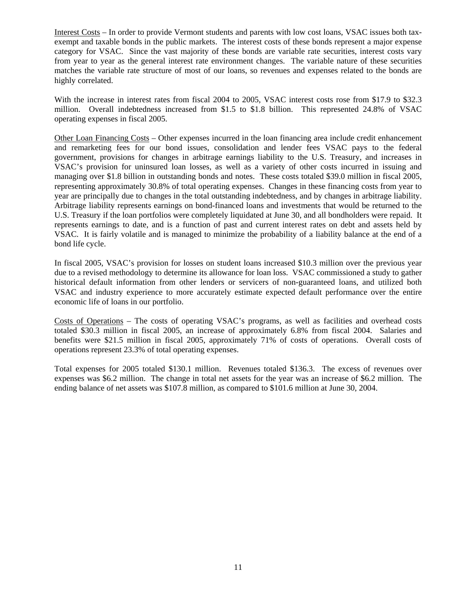Interest Costs – In order to provide Vermont students and parents with low cost loans, VSAC issues both taxexempt and taxable bonds in the public markets. The interest costs of these bonds represent a major expense category for VSAC. Since the vast majority of these bonds are variable rate securities, interest costs vary from year to year as the general interest rate environment changes. The variable nature of these securities matches the variable rate structure of most of our loans, so revenues and expenses related to the bonds are highly correlated.

With the increase in interest rates from fiscal 2004 to 2005, VSAC interest costs rose from \$17.9 to \$32.3 million. Overall indebtedness increased from \$1.5 to \$1.8 billion. This represented 24.8% of VSAC operating expenses in fiscal 2005.

Other Loan Financing Costs – Other expenses incurred in the loan financing area include credit enhancement and remarketing fees for our bond issues, consolidation and lender fees VSAC pays to the federal government, provisions for changes in arbitrage earnings liability to the U.S. Treasury, and increases in VSAC's provision for uninsured loan losses, as well as a variety of other costs incurred in issuing and managing over \$1.8 billion in outstanding bonds and notes. These costs totaled \$39.0 million in fiscal 2005, representing approximately 30.8% of total operating expenses. Changes in these financing costs from year to year are principally due to changes in the total outstanding indebtedness, and by changes in arbitrage liability. Arbitrage liability represents earnings on bond-financed loans and investments that would be returned to the U.S. Treasury if the loan portfolios were completely liquidated at June 30, and all bondholders were repaid. It represents earnings to date, and is a function of past and current interest rates on debt and assets held by VSAC. It is fairly volatile and is managed to minimize the probability of a liability balance at the end of a bond life cycle.

In fiscal 2005, VSAC's provision for losses on student loans increased \$10.3 million over the previous year due to a revised methodology to determine its allowance for loan loss. VSAC commissioned a study to gather historical default information from other lenders or servicers of non-guaranteed loans, and utilized both VSAC and industry experience to more accurately estimate expected default performance over the entire economic life of loans in our portfolio.

Costs of Operations – The costs of operating VSAC's programs, as well as facilities and overhead costs totaled \$30.3 million in fiscal 2005, an increase of approximately 6.8% from fiscal 2004. Salaries and benefits were \$21.5 million in fiscal 2005, approximately 71% of costs of operations. Overall costs of operations represent 23.3% of total operating expenses.

Total expenses for 2005 totaled \$130.1 million. Revenues totaled \$136.3. The excess of revenues over expenses was \$6.2 million. The change in total net assets for the year was an increase of \$6.2 million. The ending balance of net assets was \$107.8 million, as compared to \$101.6 million at June 30, 2004.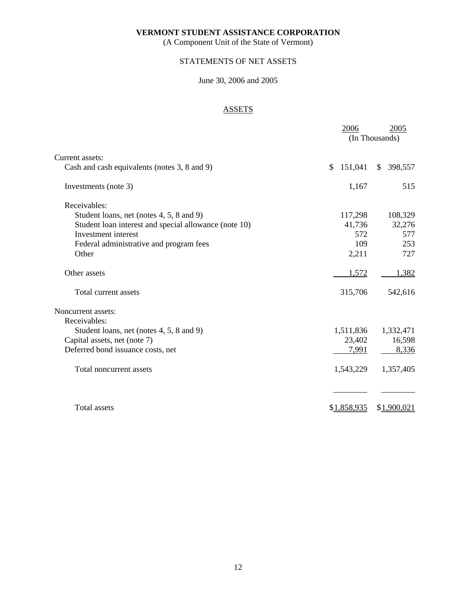(A Component Unit of the State of Vermont)

# STATEMENTS OF NET ASSETS

# June 30, 2006 and 2005

# **ASSETS**

|                                                       | 2006           | 2005<br>(In Thousands)  |
|-------------------------------------------------------|----------------|-------------------------|
| Current assets:                                       |                |                         |
| Cash and cash equivalents (notes 3, 8 and 9)          | 151,041<br>\$. | 398,557<br>$\mathbb{S}$ |
| Investments (note 3)                                  | 1,167          | 515                     |
| Receivables:                                          |                |                         |
| Student loans, net (notes 4, 5, 8 and 9)              | 117,298        | 108,329                 |
| Student loan interest and special allowance (note 10) | 41,736         | 32,276                  |
| Investment interest                                   | 572            | 577                     |
| Federal administrative and program fees               | 109            | 253                     |
| Other                                                 | 2,211          | 727                     |
| Other assets                                          | 1,572          | 1,382                   |
| Total current assets                                  | 315,706        | 542,616                 |
| Noncurrent assets:                                    |                |                         |
| Receivables:                                          |                |                         |
| Student loans, net (notes 4, 5, 8 and 9)              | 1,511,836      | 1,332,471               |
| Capital assets, net (note 7)                          | 23,402         | 16,598                  |
| Deferred bond issuance costs, net                     | 7,991          | 8,336                   |
| Total noncurrent assets                               | 1,543,229      | 1,357,405               |
|                                                       |                |                         |
| Total assets                                          | \$1,858,935    | \$1,900,021             |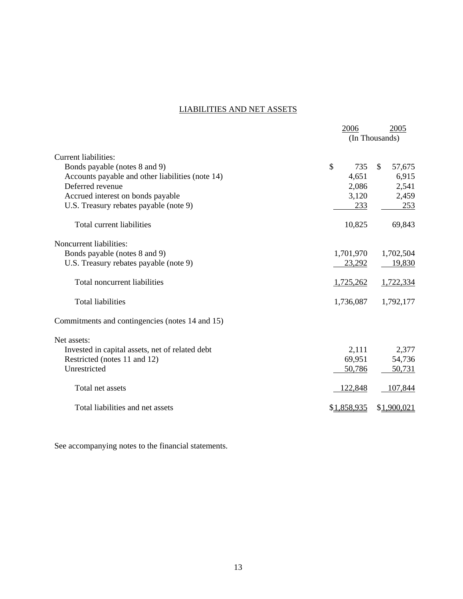# LIABILITIES AND NET ASSETS

|                                                  | 2006        | 2005<br>(In Thousands) |
|--------------------------------------------------|-------------|------------------------|
| Current liabilities:                             |             |                        |
| Bonds payable (notes 8 and 9)                    | \$<br>735   | \$<br>57,675           |
| Accounts payable and other liabilities (note 14) | 4,651       | 6,915                  |
| Deferred revenue                                 | 2,086       | 2,541                  |
| Accrued interest on bonds payable                | 3,120       | 2,459                  |
| U.S. Treasury rebates payable (note 9)           | 233         | 253                    |
| Total current liabilities                        | 10,825      | 69,843                 |
| Noncurrent liabilities:                          |             |                        |
| Bonds payable (notes 8 and 9)                    | 1,701,970   | 1,702,504              |
| U.S. Treasury rebates payable (note 9)           | 23,292      | 19,830                 |
| Total noncurrent liabilities                     | 1,725,262   | 1,722,334              |
| <b>Total liabilities</b>                         | 1,736,087   | 1,792,177              |
| Commitments and contingencies (notes 14 and 15)  |             |                        |
| Net assets:                                      |             |                        |
| Invested in capital assets, net of related debt  | 2,111       | 2,377                  |
| Restricted (notes 11 and 12)                     | 69,951      | 54,736                 |
| Unrestricted                                     | 50,786      | 50,731                 |
| Total net assets                                 | 122,848     | 107,844                |
| Total liabilities and net assets                 | \$1,858,935 | \$1,900,021            |

See accompanying notes to the financial statements.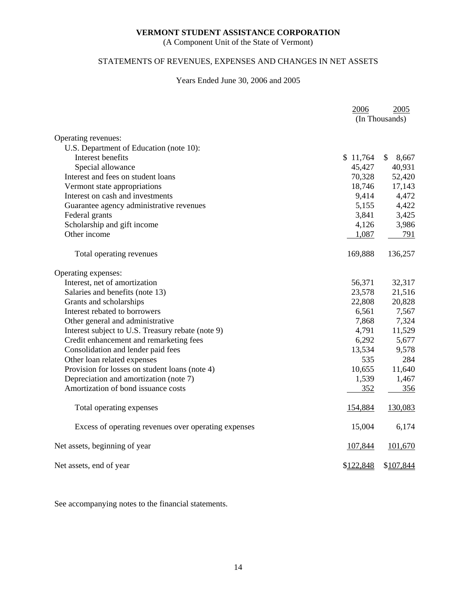(A Component Unit of the State of Vermont)

# STATEMENTS OF REVENUES, EXPENSES AND CHANGES IN NET ASSETS

# Years Ended June 30, 2006 and 2005

|                                                      | 2006      | 2005           |
|------------------------------------------------------|-----------|----------------|
|                                                      |           | (In Thousands) |
| Operating revenues:                                  |           |                |
| U.S. Department of Education (note 10):              |           |                |
| Interest benefits                                    | \$11,764  | \$<br>8,667    |
| Special allowance                                    | 45,427    | 40,931         |
| Interest and fees on student loans                   | 70,328    | 52,420         |
| Vermont state appropriations                         | 18,746    | 17,143         |
| Interest on cash and investments                     | 9,414     | 4,472          |
| Guarantee agency administrative revenues             | 5,155     | 4,422          |
| Federal grants                                       | 3,841     | 3,425          |
| Scholarship and gift income                          | 4,126     | 3,986          |
| Other income                                         | 1,087     | 791            |
| Total operating revenues                             | 169,888   | 136,257        |
| Operating expenses:                                  |           |                |
| Interest, net of amortization                        | 56,371    | 32,317         |
| Salaries and benefits (note 13)                      | 23,578    | 21,516         |
| Grants and scholarships                              | 22,808    | 20,828         |
| Interest rebated to borrowers                        | 6,561     | 7,567          |
| Other general and administrative                     | 7,868     | 7,324          |
| Interest subject to U.S. Treasury rebate (note 9)    | 4,791     | 11,529         |
| Credit enhancement and remarketing fees              | 6,292     | 5,677          |
| Consolidation and lender paid fees                   | 13,534    | 9,578          |
| Other loan related expenses                          | 535       | 284            |
| Provision for losses on student loans (note 4)       | 10,655    | 11,640         |
| Depreciation and amortization (note 7)               | 1,539     | 1,467          |
| Amortization of bond issuance costs                  | 352       | 356            |
| Total operating expenses                             | 154,884   | 130,083        |
| Excess of operating revenues over operating expenses | 15,004    | 6,174          |
| Net assets, beginning of year                        | 107,844   | 101,670        |
| Net assets, end of year                              | \$122,848 | \$107,844      |

See accompanying notes to the financial statements.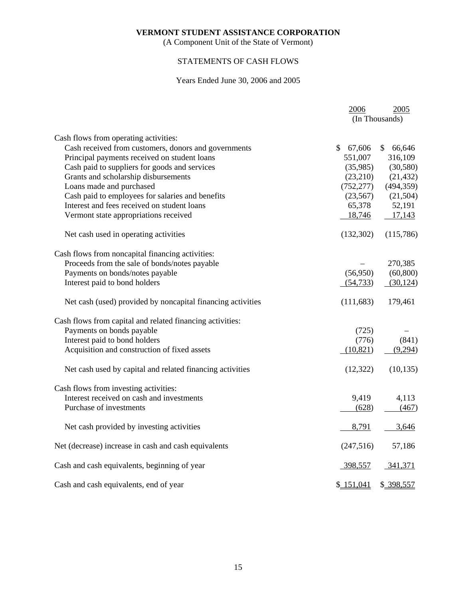(A Component Unit of the State of Vermont)

# STATEMENTS OF CASH FLOWS

# Years Ended June 30, 2006 and 2005

|                                                             | 2006       | 2005           |
|-------------------------------------------------------------|------------|----------------|
|                                                             |            | (In Thousands) |
| Cash flows from operating activities:                       |            |                |
| Cash received from customers, donors and governments        | \$67,606   | \$<br>66,646   |
| Principal payments received on student loans                | 551,007    | 316,109        |
| Cash paid to suppliers for goods and services               | (35,985)   | (30,580)       |
| Grants and scholarship disbursements                        | (23,210)   | (21, 432)      |
| Loans made and purchased                                    | (752, 277) | (494, 359)     |
| Cash paid to employees for salaries and benefits            | (23, 567)  | (21,504)       |
| Interest and fees received on student loans                 | 65,378     | 52,191         |
| Vermont state appropriations received                       | 18,746     | 17,143         |
| Net cash used in operating activities                       | (132,302)  | (115,786)      |
| Cash flows from noncapital financing activities:            |            |                |
| Proceeds from the sale of bonds/notes payable               |            | 270,385        |
| Payments on bonds/notes payable                             | (56,950)   | (60, 800)      |
| Interest paid to bond holders                               | (54, 733)  | (30, 124)      |
| Net cash (used) provided by noncapital financing activities | (111, 683) | 179,461        |
| Cash flows from capital and related financing activities:   |            |                |
| Payments on bonds payable                                   | (725)      |                |
| Interest paid to bond holders                               | (776)      | (841)          |
| Acquisition and construction of fixed assets                | (10, 821)  | (9,294)        |
| Net cash used by capital and related financing activities   | (12, 322)  | (10, 135)      |
| Cash flows from investing activities:                       |            |                |
| Interest received on cash and investments                   | 9,419      | 4,113          |
| Purchase of investments                                     | (628)      | (467)          |
| Net cash provided by investing activities                   | 8,791      | 3,646          |
|                                                             |            |                |
| Net (decrease) increase in cash and cash equivalents        | (247, 516) | 57,186         |
| Cash and cash equivalents, beginning of year                | 398,557    | 341,371        |
| Cash and cash equivalents, end of year                      | \$151,041  | \$ 398,557     |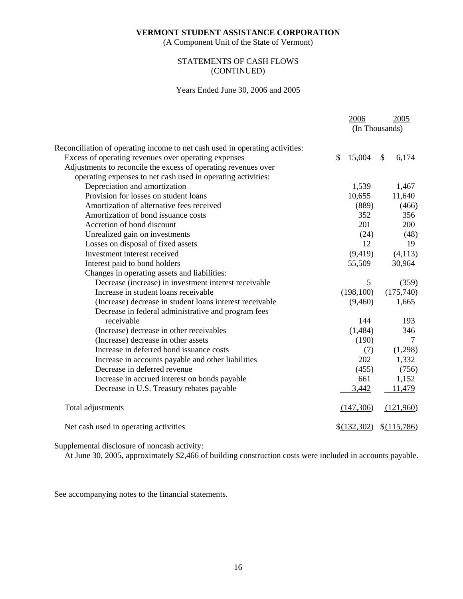(A Component Unit of the State of Vermont)

# STATEMENTS OF CASH FLOWS (CONTINUED)

# Years Ended June 30, 2006 and 2005

|                                                                              | 2006                   | 2005           |
|------------------------------------------------------------------------------|------------------------|----------------|
|                                                                              |                        | (In Thousands) |
| Reconciliation of operating income to net cash used in operating activities: |                        |                |
| Excess of operating revenues over operating expenses                         | $\mathbb{S}$<br>15,004 | \$<br>6,174    |
| Adjustments to reconcile the excess of operating revenues over               |                        |                |
| operating expenses to net cash used in operating activities:                 |                        |                |
| Depreciation and amortization                                                | 1,539                  | 1,467          |
| Provision for losses on student loans                                        | 10,655                 | 11,640         |
| Amortization of alternative fees received                                    | (889)                  | (466)          |
| Amortization of bond issuance costs                                          | 352                    | 356            |
| Accretion of bond discount                                                   | 201                    | 200            |
| Unrealized gain on investments                                               | (24)                   | (48)           |
| Losses on disposal of fixed assets                                           | 12                     | 19             |
| Investment interest received                                                 | (9, 419)               | (4, 113)       |
| Interest paid to bond holders                                                | 55,509                 | 30,964         |
| Changes in operating assets and liabilities:                                 |                        |                |
| Decrease (increase) in investment interest receivable                        | 5                      | (359)          |
| Increase in student loans receivable                                         | (198,100)              | (175,740)      |
| (Increase) decrease in student loans interest receivable                     | (9,460)                | 1,665          |
| Decrease in federal administrative and program fees                          |                        |                |
| receivable                                                                   | 144                    | 193            |
| (Increase) decrease in other receivables                                     | (1,484)                | 346            |
| (Increase) decrease in other assets                                          | (190)                  | 7              |
| Increase in deferred bond issuance costs                                     | (7)                    | (1,298)        |
| Increase in accounts payable and other liabilities                           | 202                    | 1,332          |
| Decrease in deferred revenue                                                 | (455)                  | (756)          |
| Increase in accrued interest on bonds payable                                | 661                    | 1,152          |
| Decrease in U.S. Treasury rebates payable                                    | 3,442                  | 11,479         |
| Total adjustments                                                            | (147,306)              | (121,960)      |
| Net cash used in operating activities                                        | $$$ (132,302)          | \$(115,786)    |

Supplemental disclosure of noncash activity:

At June 30, 2005, approximately \$2,466 of building construction costs were included in accounts payable.

See accompanying notes to the financial statements.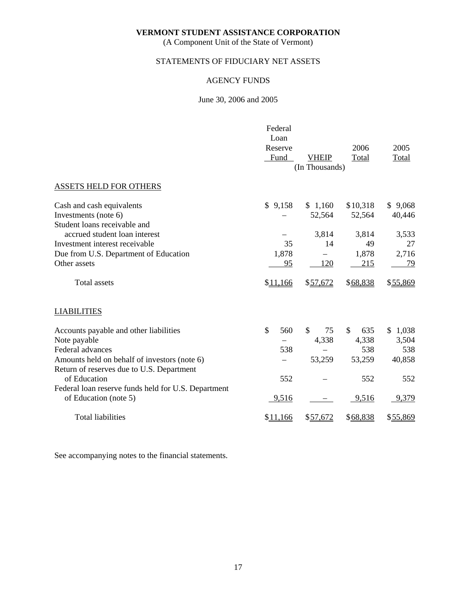(A Component Unit of the State of Vermont)

# STATEMENTS OF FIDUCIARY NET ASSETS

# AGENCY FUNDS

# June 30, 2006 and 2005

|                                                     | Federal      |                |              |           |          |
|-----------------------------------------------------|--------------|----------------|--------------|-----------|----------|
|                                                     | Loan         |                |              |           |          |
|                                                     | Reserve      |                |              | 2006      | 2005     |
|                                                     | Fund         |                | <b>VHEIP</b> | Total     | Total    |
|                                                     |              | (In Thousands) |              |           |          |
| <b>ASSETS HELD FOR OTHERS</b>                       |              |                |              |           |          |
| Cash and cash equivalents                           | \$9,158      |                | \$1,160      | \$10,318  | \$9,068  |
| Investments (note 6)                                |              |                | 52,564       | 52,564    | 40,446   |
| Student loans receivable and                        |              |                |              |           |          |
| accrued student loan interest                       |              |                | 3,814        | 3,814     | 3,533    |
| Investment interest receivable                      |              | 35             | 14           | 49        | 27       |
| Due from U.S. Department of Education               | 1,878        |                |              | 1,878     | 2,716    |
| Other assets                                        |              | 95             | 120          | 215       | 79       |
| <b>Total assets</b>                                 | \$11,166     |                | \$57,672     | \$68,838  | \$55,869 |
| <b>LIABILITIES</b>                                  |              |                |              |           |          |
| Accounts payable and other liabilities              | $\mathbb{S}$ | \$<br>560      | 75           | \$<br>635 | \$1,038  |
| Note payable                                        |              |                | 4,338        | 4,338     | 3,504    |
| Federal advances                                    |              | 538            |              | 538       | 538      |
| Amounts held on behalf of investors (note 6)        |              |                | 53,259       | 53,259    | 40,858   |
| Return of reserves due to U.S. Department           |              |                |              |           |          |
| of Education                                        |              | 552            |              | 552       | 552      |
| Federal loan reserve funds held for U.S. Department |              |                |              |           |          |
| of Education (note 5)                               | 9,516        |                |              | 9,516     | 9,379    |
| <b>Total liabilities</b>                            | \$11,166     |                | \$57,672     | \$68,838  | \$55,869 |

See accompanying notes to the financial statements.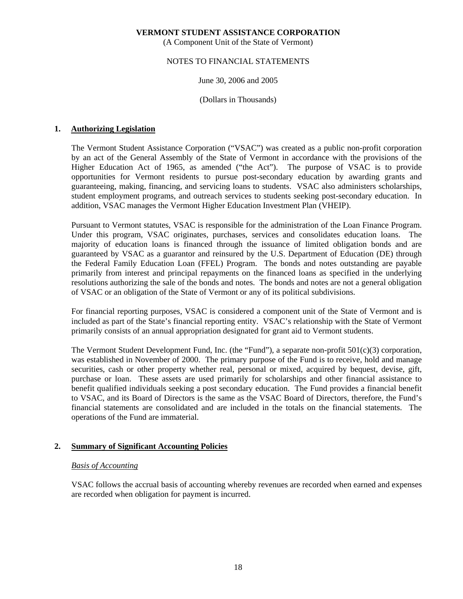(A Component Unit of the State of Vermont)

## NOTES TO FINANCIAL STATEMENTS

## June 30, 2006 and 2005

(Dollars in Thousands)

# **1. Authorizing Legislation**

 The Vermont Student Assistance Corporation ("VSAC") was created as a public non-profit corporation by an act of the General Assembly of the State of Vermont in accordance with the provisions of the Higher Education Act of 1965, as amended ("the Act"). The purpose of VSAC is to provide opportunities for Vermont residents to pursue post-secondary education by awarding grants and guaranteeing, making, financing, and servicing loans to students. VSAC also administers scholarships, student employment programs, and outreach services to students seeking post-secondary education. In addition, VSAC manages the Vermont Higher Education Investment Plan (VHEIP).

 Pursuant to Vermont statutes, VSAC is responsible for the administration of the Loan Finance Program. Under this program, VSAC originates, purchases, services and consolidates education loans. The majority of education loans is financed through the issuance of limited obligation bonds and are guaranteed by VSAC as a guarantor and reinsured by the U.S. Department of Education (DE) through the Federal Family Education Loan (FFEL) Program. The bonds and notes outstanding are payable primarily from interest and principal repayments on the financed loans as specified in the underlying resolutions authorizing the sale of the bonds and notes. The bonds and notes are not a general obligation of VSAC or an obligation of the State of Vermont or any of its political subdivisions.

 For financial reporting purposes, VSAC is considered a component unit of the State of Vermont and is included as part of the State's financial reporting entity. VSAC's relationship with the State of Vermont primarily consists of an annual appropriation designated for grant aid to Vermont students.

 The Vermont Student Development Fund, Inc. (the "Fund"), a separate non-profit 501(c)(3) corporation, was established in November of 2000. The primary purpose of the Fund is to receive, hold and manage securities, cash or other property whether real, personal or mixed, acquired by bequest, devise, gift, purchase or loan. These assets are used primarily for scholarships and other financial assistance to benefit qualified individuals seeking a post secondary education. The Fund provides a financial benefit to VSAC, and its Board of Directors is the same as the VSAC Board of Directors, therefore, the Fund's financial statements are consolidated and are included in the totals on the financial statements. The operations of the Fund are immaterial.

# **2. Summary of Significant Accounting Policies**

# *Basis of Accounting*

 VSAC follows the accrual basis of accounting whereby revenues are recorded when earned and expenses are recorded when obligation for payment is incurred.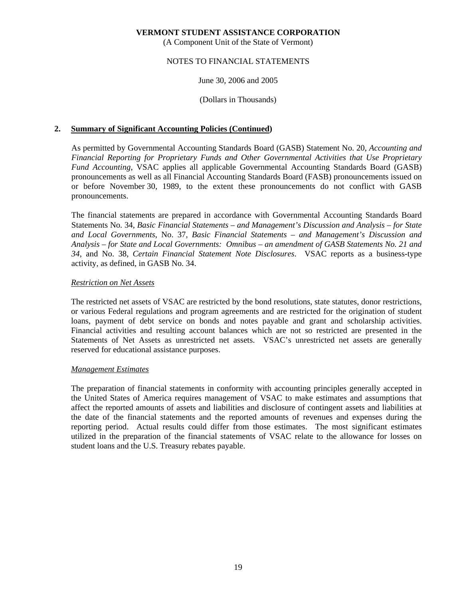(A Component Unit of the State of Vermont)

# NOTES TO FINANCIAL STATEMENTS

# June 30, 2006 and 2005

#### (Dollars in Thousands)

# **2. Summary of Significant Accounting Policies (Continued)**

 As permitted by Governmental Accounting Standards Board (GASB) Statement No. 20, *Accounting and Financial Reporting for Proprietary Funds and Other Governmental Activities that Use Proprietary Fund Accounting*, VSAC applies all applicable Governmental Accounting Standards Board (GASB) pronouncements as well as all Financial Accounting Standards Board (FASB) pronouncements issued on or before November 30, 1989, to the extent these pronouncements do not conflict with GASB pronouncements.

 The financial statements are prepared in accordance with Governmental Accounting Standards Board Statements No. 34, *Basic Financial Statements – and Management's Discussion and Analysis – for State and Local Governments*, No. 37, *Basic Financial Statements – and Management's Discussion and Analysis – for State and Local Governments: Omnibus – an amendment of GASB Statements No. 21 and 34*, and No. 38, *Certain Financial Statement Note Disclosures*. VSAC reports as a business-type activity, as defined, in GASB No. 34.

# *Restriction on Net Assets*

 The restricted net assets of VSAC are restricted by the bond resolutions, state statutes, donor restrictions, or various Federal regulations and program agreements and are restricted for the origination of student loans, payment of debt service on bonds and notes payable and grant and scholarship activities. Financial activities and resulting account balances which are not so restricted are presented in the Statements of Net Assets as unrestricted net assets. VSAC's unrestricted net assets are generally reserved for educational assistance purposes.

#### *Management Estimates*

 The preparation of financial statements in conformity with accounting principles generally accepted in the United States of America requires management of VSAC to make estimates and assumptions that affect the reported amounts of assets and liabilities and disclosure of contingent assets and liabilities at the date of the financial statements and the reported amounts of revenues and expenses during the reporting period. Actual results could differ from those estimates. The most significant estimates utilized in the preparation of the financial statements of VSAC relate to the allowance for losses on student loans and the U.S. Treasury rebates payable.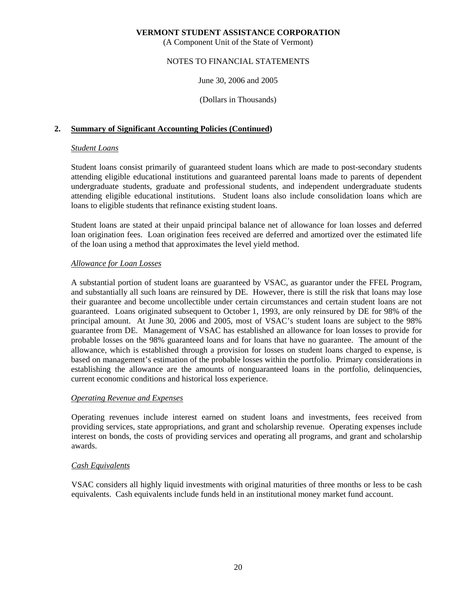(A Component Unit of the State of Vermont)

# NOTES TO FINANCIAL STATEMENTS

June 30, 2006 and 2005

(Dollars in Thousands)

# **2. Summary of Significant Accounting Policies (Continued)**

## *Student Loans*

 Student loans consist primarily of guaranteed student loans which are made to post-secondary students attending eligible educational institutions and guaranteed parental loans made to parents of dependent undergraduate students, graduate and professional students, and independent undergraduate students attending eligible educational institutions. Student loans also include consolidation loans which are loans to eligible students that refinance existing student loans.

 Student loans are stated at their unpaid principal balance net of allowance for loan losses and deferred loan origination fees. Loan origination fees received are deferred and amortized over the estimated life of the loan using a method that approximates the level yield method.

## *Allowance for Loan Losses*

 A substantial portion of student loans are guaranteed by VSAC, as guarantor under the FFEL Program, and substantially all such loans are reinsured by DE. However, there is still the risk that loans may lose their guarantee and become uncollectible under certain circumstances and certain student loans are not guaranteed. Loans originated subsequent to October 1, 1993, are only reinsured by DE for 98% of the principal amount. At June 30, 2006 and 2005, most of VSAC's student loans are subject to the 98% guarantee from DE. Management of VSAC has established an allowance for loan losses to provide for probable losses on the 98% guaranteed loans and for loans that have no guarantee. The amount of the allowance, which is established through a provision for losses on student loans charged to expense, is based on management's estimation of the probable losses within the portfolio. Primary considerations in establishing the allowance are the amounts of nonguaranteed loans in the portfolio, delinquencies, current economic conditions and historical loss experience.

# *Operating Revenue and Expenses*

 Operating revenues include interest earned on student loans and investments, fees received from providing services, state appropriations, and grant and scholarship revenue. Operating expenses include interest on bonds, the costs of providing services and operating all programs, and grant and scholarship awards.

# *Cash Equivalents*

 VSAC considers all highly liquid investments with original maturities of three months or less to be cash equivalents. Cash equivalents include funds held in an institutional money market fund account.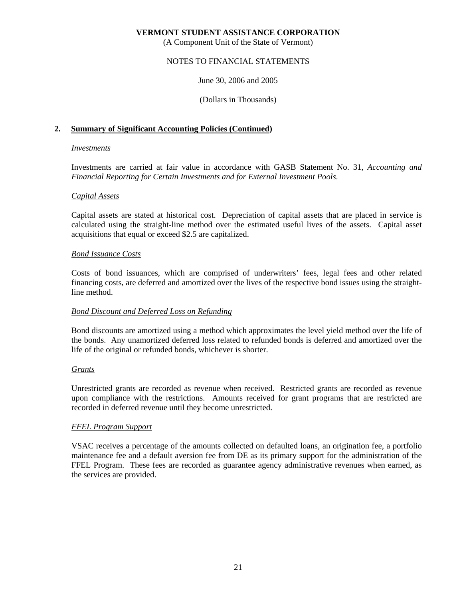(A Component Unit of the State of Vermont)

## NOTES TO FINANCIAL STATEMENTS

June 30, 2006 and 2005

(Dollars in Thousands)

# **2. Summary of Significant Accounting Policies (Continued)**

#### *Investments*

 Investments are carried at fair value in accordance with GASB Statement No. 31, *Accounting and Financial Reporting for Certain Investments and for External Investment Pools*.

#### *Capital Assets*

 Capital assets are stated at historical cost. Depreciation of capital assets that are placed in service is calculated using the straight-line method over the estimated useful lives of the assets. Capital asset acquisitions that equal or exceed \$2.5 are capitalized.

#### *Bond Issuance Costs*

 Costs of bond issuances, which are comprised of underwriters' fees, legal fees and other related financing costs, are deferred and amortized over the lives of the respective bond issues using the straightline method.

## *Bond Discount and Deferred Loss on Refunding*

 Bond discounts are amortized using a method which approximates the level yield method over the life of the bonds. Any unamortized deferred loss related to refunded bonds is deferred and amortized over the life of the original or refunded bonds, whichever is shorter.

#### *Grants*

 Unrestricted grants are recorded as revenue when received. Restricted grants are recorded as revenue upon compliance with the restrictions. Amounts received for grant programs that are restricted are recorded in deferred revenue until they become unrestricted.

# *FFEL Program Support*

 VSAC receives a percentage of the amounts collected on defaulted loans, an origination fee, a portfolio maintenance fee and a default aversion fee from DE as its primary support for the administration of the FFEL Program. These fees are recorded as guarantee agency administrative revenues when earned, as the services are provided.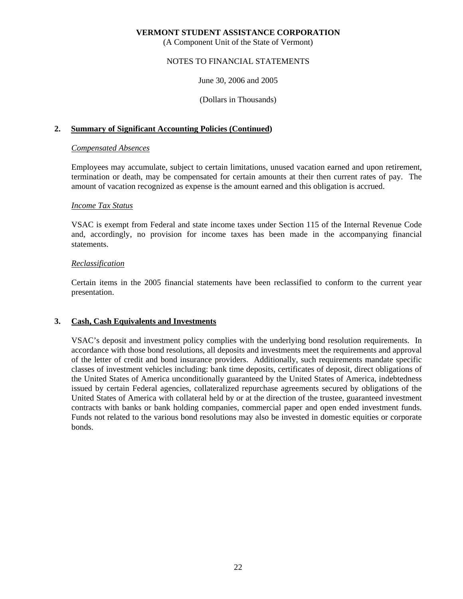(A Component Unit of the State of Vermont)

## NOTES TO FINANCIAL STATEMENTS

June 30, 2006 and 2005

(Dollars in Thousands)

# **2. Summary of Significant Accounting Policies (Continued)**

#### *Compensated Absences*

 Employees may accumulate, subject to certain limitations, unused vacation earned and upon retirement, termination or death, may be compensated for certain amounts at their then current rates of pay. The amount of vacation recognized as expense is the amount earned and this obligation is accrued.

#### *Income Tax Status*

 VSAC is exempt from Federal and state income taxes under Section 115 of the Internal Revenue Code and, accordingly, no provision for income taxes has been made in the accompanying financial statements.

#### *Reclassification*

 Certain items in the 2005 financial statements have been reclassified to conform to the current year presentation.

#### **3. Cash, Cash Equivalents and Investments**

 VSAC's deposit and investment policy complies with the underlying bond resolution requirements. In accordance with those bond resolutions, all deposits and investments meet the requirements and approval of the letter of credit and bond insurance providers. Additionally, such requirements mandate specific classes of investment vehicles including: bank time deposits, certificates of deposit, direct obligations of the United States of America unconditionally guaranteed by the United States of America, indebtedness issued by certain Federal agencies, collateralized repurchase agreements secured by obligations of the United States of America with collateral held by or at the direction of the trustee, guaranteed investment contracts with banks or bank holding companies, commercial paper and open ended investment funds. Funds not related to the various bond resolutions may also be invested in domestic equities or corporate bonds.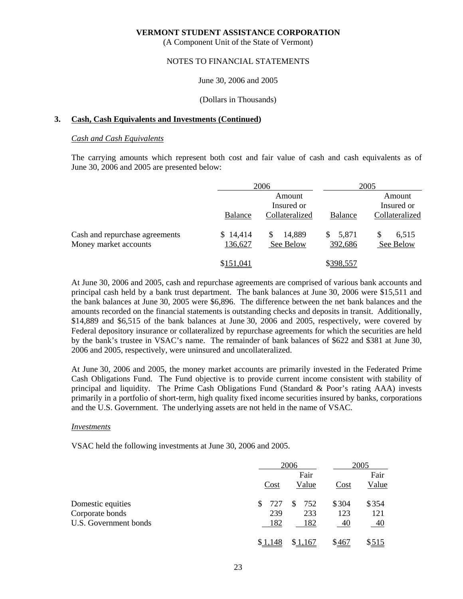(A Component Unit of the State of Vermont)

#### NOTES TO FINANCIAL STATEMENTS

#### June 30, 2006 and 2005

#### (Dollars in Thousands)

#### **3. Cash, Cash Equivalents and Investments (Continued)**

#### *Cash and Cash Equivalents*

 The carrying amounts which represent both cost and fair value of cash and cash equivalents as of June 30, 2006 and 2005 are presented below:

|                                                         |                     | 2006                                   |                    | 2005                                   |
|---------------------------------------------------------|---------------------|----------------------------------------|--------------------|----------------------------------------|
|                                                         | <b>Balance</b>      | Amount<br>Insured or<br>Collateralized | <b>Balance</b>     | Amount<br>Insured or<br>Collateralized |
| Cash and repurchase agreements<br>Money market accounts | \$14,414<br>136,627 | 14,889<br>S.<br>See Below              | \$5,871<br>392,686 | 6,515<br>See Below                     |
|                                                         | \$151,041           |                                        | \$398,557          |                                        |

 At June 30, 2006 and 2005, cash and repurchase agreements are comprised of various bank accounts and principal cash held by a bank trust department. The bank balances at June 30, 2006 were \$15,511 and the bank balances at June 30, 2005 were \$6,896. The difference between the net bank balances and the amounts recorded on the financial statements is outstanding checks and deposits in transit. Additionally, \$14,889 and \$6,515 of the bank balances at June 30, 2006 and 2005, respectively, were covered by Federal depository insurance or collateralized by repurchase agreements for which the securities are held by the bank's trustee in VSAC's name. The remainder of bank balances of \$622 and \$381 at June 30, 2006 and 2005, respectively, were uninsured and uncollateralized.

 At June 30, 2006 and 2005, the money market accounts are primarily invested in the Federated Prime Cash Obligations Fund. The Fund objective is to provide current income consistent with stability of principal and liquidity. The Prime Cash Obligations Fund (Standard & Poor's rating AAA) invests primarily in a portfolio of short-term, high quality fixed income securities insured by banks, corporations and the U.S. Government. The underlying assets are not held in the name of VSAC.

#### *Investments*

VSAC held the following investments at June 30, 2006 and 2005.

|                       |      | 2006         |       | 2005  |
|-----------------------|------|--------------|-------|-------|
|                       |      | Fair         |       | Fair  |
|                       | Cost | Value        | Cost  | Value |
| Domestic equities     | 727  | 752<br>S.    | \$304 | \$354 |
| Corporate bonds       | 239  | 233          | 123   | 121   |
| U.S. Government bonds | 182  | 182          | 40    | 40    |
|                       |      | <u>1,167</u> | \$467 |       |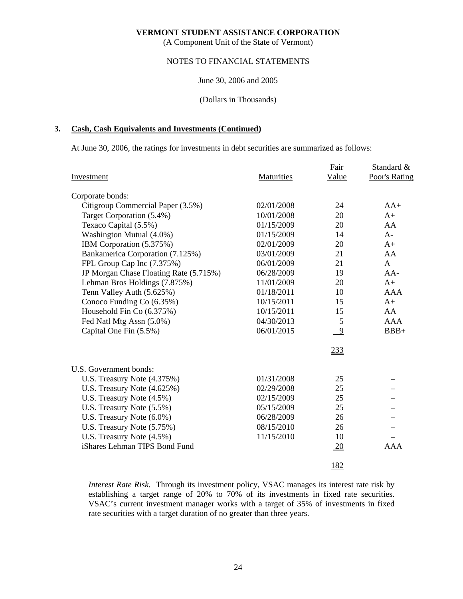(A Component Unit of the State of Vermont)

#### NOTES TO FINANCIAL STATEMENTS

#### June 30, 2006 and 2005

## (Dollars in Thousands)

#### **3. Cash, Cash Equivalents and Investments (Continued)**

At June 30, 2006, the ratings for investments in debt securities are summarized as follows:

|                                        |                   | Fair           | Standard &    |
|----------------------------------------|-------------------|----------------|---------------|
| Investment                             | <b>Maturities</b> | Value          | Poor's Rating |
| Corporate bonds:                       |                   |                |               |
| Citigroup Commercial Paper (3.5%)      | 02/01/2008        | 24             | $AA+$         |
| Target Corporation (5.4%)              | 10/01/2008        | 20             | $A+$          |
| Texaco Capital (5.5%)                  | 01/15/2009        | 20             | AA            |
| Washington Mutual (4.0%)               | 01/15/2009        | 14             | $A-$          |
| IBM Corporation (5.375%)               | 02/01/2009        | 20             | $A+$          |
| Bankamerica Corporation (7.125%)       | 03/01/2009        | 21             | AA            |
| FPL Group Cap Inc (7.375%)             | 06/01/2009        | 21             | $\mathsf{A}$  |
| JP Morgan Chase Floating Rate (5.715%) | 06/28/2009        | 19             | $AA-$         |
| Lehman Bros Holdings (7.875%)          | 11/01/2009        | 20             | $A+$          |
| Tenn Valley Auth (5.625%)              | 01/18/2011        | 10             | <b>AAA</b>    |
| Conoco Funding Co (6.35%)              | 10/15/2011        | 15             | $A+$          |
| Household Fin Co (6.375%)              | 10/15/2011        | 15             | AA            |
| Fed Natl Mtg Assn (5.0%)               | 04/30/2013        | 5              | AAA           |
| Capital One Fin (5.5%)                 | 06/01/2015        | $\overline{9}$ | $BBB+$        |
|                                        |                   | 233            |               |
| U.S. Government bonds:                 |                   |                |               |
| U.S. Treasury Note (4.375%)            | 01/31/2008        | 25             |               |
| U.S. Treasury Note (4.625%)            | 02/29/2008        | 25             |               |
| U.S. Treasury Note (4.5%)              | 02/15/2009        | 25             |               |
| U.S. Treasury Note (5.5%)              | 05/15/2009        | 25             |               |
| U.S. Treasury Note (6.0%)              | 06/28/2009        | 26             |               |
| U.S. Treasury Note (5.75%)             | 08/15/2010        | 26             |               |
| U.S. Treasury Note (4.5%)              | 11/15/2010        | 10             |               |
| iShares Lehman TIPS Bond Fund          |                   | 20             | <b>AAA</b>    |
|                                        |                   | 182            |               |

*Interest Rate Risk.* Through its investment policy, VSAC manages its interest rate risk by establishing a target range of 20% to 70% of its investments in fixed rate securities. VSAC's current investment manager works with a target of 35% of investments in fixed rate securities with a target duration of no greater than three years.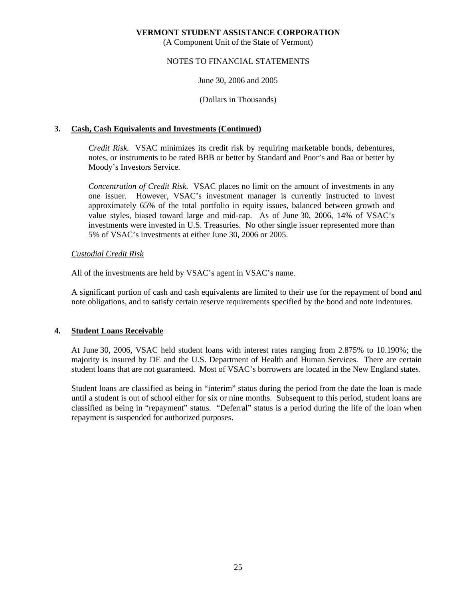(A Component Unit of the State of Vermont)

## NOTES TO FINANCIAL STATEMENTS

## June 30, 2006 and 2005

#### (Dollars in Thousands)

# **3. Cash, Cash Equivalents and Investments (Continued)**

 *Credit Risk.* VSAC minimizes its credit risk by requiring marketable bonds, debentures, notes, or instruments to be rated BBB or better by Standard and Poor's and Baa or better by Moody's Investors Service.

 *Concentration of Credit Risk.* VSAC places no limit on the amount of investments in any one issuer. However, VSAC's investment manager is currently instructed to invest approximately 65% of the total portfolio in equity issues, balanced between growth and value styles, biased toward large and mid-cap. As of June 30, 2006, 14% of VSAC's investments were invested in U.S. Treasuries. No other single issuer represented more than 5% of VSAC's investments at either June 30, 2006 or 2005.

# *Custodial Credit Risk*

All of the investments are held by VSAC's agent in VSAC's name.

 A significant portion of cash and cash equivalents are limited to their use for the repayment of bond and note obligations, and to satisfy certain reserve requirements specified by the bond and note indentures.

# **4. Student Loans Receivable**

 At June 30, 2006, VSAC held student loans with interest rates ranging from 2.875% to 10.190%; the majority is insured by DE and the U.S. Department of Health and Human Services. There are certain student loans that are not guaranteed. Most of VSAC's borrowers are located in the New England states.

 Student loans are classified as being in "interim" status during the period from the date the loan is made until a student is out of school either for six or nine months. Subsequent to this period, student loans are classified as being in "repayment" status. "Deferral" status is a period during the life of the loan when repayment is suspended for authorized purposes.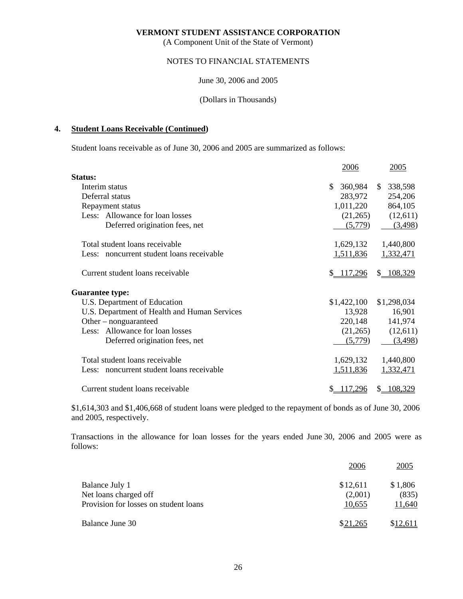(A Component Unit of the State of Vermont)

# NOTES TO FINANCIAL STATEMENTS

June 30, 2006 and 2005

#### (Dollars in Thousands)

#### **4. Student Loans Receivable (Continued)**

Student loans receivable as of June 30, 2006 and 2005 are summarized as follows:

| 338,598<br>360,984<br>$\mathbb{S}^-$<br>283,972<br>254,206<br>1,011,220<br>864,105<br>(12,611)<br>(21,265)<br>(5,779)<br>(3,498) |
|----------------------------------------------------------------------------------------------------------------------------------|
|                                                                                                                                  |
|                                                                                                                                  |
|                                                                                                                                  |
|                                                                                                                                  |
|                                                                                                                                  |
|                                                                                                                                  |
| 1,629,132<br>1,440,800                                                                                                           |
| 1,511,836<br>1,332,471                                                                                                           |
| \$117,296<br>\$ 108,329                                                                                                          |
|                                                                                                                                  |
| \$1,422,100<br>\$1,298,034                                                                                                       |
| 13,928<br>16,901                                                                                                                 |
| 220,148<br>141,974                                                                                                               |
| (21,265)<br>(12,611)                                                                                                             |
| (5,779)<br>(3,498)                                                                                                               |
| 1,629,132<br>1,440,800                                                                                                           |
| 1,332,471                                                                                                                        |
|                                                                                                                                  |
| 1,511,836                                                                                                                        |

 \$1,614,303 and \$1,406,668 of student loans were pledged to the repayment of bonds as of June 30, 2006 and 2005, respectively.

 Transactions in the allowance for loan losses for the years ended June 30, 2006 and 2005 were as follows:

|                                       | 2006     | 2005     |
|---------------------------------------|----------|----------|
| Balance July 1                        | \$12,611 | \$1,806  |
| Net loans charged off                 | (2,001)  | (835)    |
| Provision for losses on student loans | 10,655   | 11,640   |
| Balance June 30                       | \$21,265 | \$12,611 |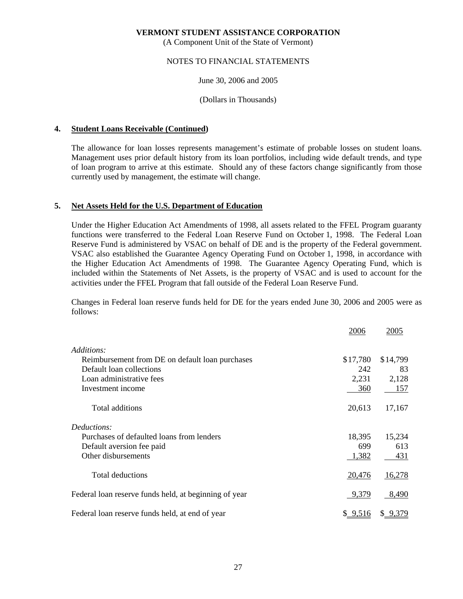(A Component Unit of the State of Vermont)

# NOTES TO FINANCIAL STATEMENTS

## June 30, 2006 and 2005

# (Dollars in Thousands)

# **4. Student Loans Receivable (Continued)**

 The allowance for loan losses represents management's estimate of probable losses on student loans. Management uses prior default history from its loan portfolios, including wide default trends, and type of loan program to arrive at this estimate. Should any of these factors change significantly from those currently used by management, the estimate will change.

# **5. Net Assets Held for the U.S. Department of Education**

 Under the Higher Education Act Amendments of 1998, all assets related to the FFEL Program guaranty functions were transferred to the Federal Loan Reserve Fund on October 1, 1998. The Federal Loan Reserve Fund is administered by VSAC on behalf of DE and is the property of the Federal government. VSAC also established the Guarantee Agency Operating Fund on October 1, 1998, in accordance with the Higher Education Act Amendments of 1998. The Guarantee Agency Operating Fund, which is included within the Statements of Net Assets, is the property of VSAC and is used to account for the activities under the FFEL Program that fall outside of the Federal Loan Reserve Fund.

 Changes in Federal loan reserve funds held for DE for the years ended June 30, 2006 and 2005 were as follows:

|                                                       | 2006     | 2005          |
|-------------------------------------------------------|----------|---------------|
| Additions:                                            |          |               |
| Reimbursement from DE on default loan purchases       | \$17,780 | \$14,799      |
| Default loan collections                              | 242      | 83            |
| Loan administrative fees                              | 2,231    | 2,128         |
| Investment income                                     | 360      | 157           |
| Total additions                                       | 20,613   | 17,167        |
| Deductions:                                           |          |               |
| Purchases of defaulted loans from lenders             | 18,395   | 15,234        |
| Default aversion fee paid                             | 699      | 613           |
| Other disbursements                                   | 1,382    | 431           |
| Total deductions                                      | 20,476   | <u>16,278</u> |
| Federal loan reserve funds held, at beginning of year | 9,379    | 8,490         |
| Federal loan reserve funds held, at end of year       | \$9,516  | \$9,379       |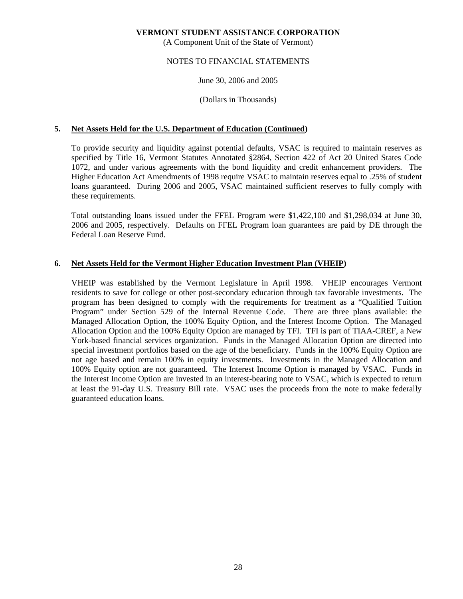(A Component Unit of the State of Vermont)

## NOTES TO FINANCIAL STATEMENTS

June 30, 2006 and 2005

(Dollars in Thousands)

# **5. Net Assets Held for the U.S. Department of Education (Continued)**

 To provide security and liquidity against potential defaults, VSAC is required to maintain reserves as specified by Title 16, Vermont Statutes Annotated §2864, Section 422 of Act 20 United States Code 1072, and under various agreements with the bond liquidity and credit enhancement providers. The Higher Education Act Amendments of 1998 require VSAC to maintain reserves equal to .25% of student loans guaranteed. During 2006 and 2005, VSAC maintained sufficient reserves to fully comply with these requirements.

 Total outstanding loans issued under the FFEL Program were \$1,422,100 and \$1,298,034 at June 30, 2006 and 2005, respectively. Defaults on FFEL Program loan guarantees are paid by DE through the Federal Loan Reserve Fund.

# **6. Net Assets Held for the Vermont Higher Education Investment Plan (VHEIP)**

 VHEIP was established by the Vermont Legislature in April 1998. VHEIP encourages Vermont residents to save for college or other post-secondary education through tax favorable investments. The program has been designed to comply with the requirements for treatment as a "Qualified Tuition Program" under Section 529 of the Internal Revenue Code. There are three plans available: the Managed Allocation Option, the 100% Equity Option, and the Interest Income Option. The Managed Allocation Option and the 100% Equity Option are managed by TFI. TFI is part of TIAA-CREF, a New York-based financial services organization. Funds in the Managed Allocation Option are directed into special investment portfolios based on the age of the beneficiary. Funds in the 100% Equity Option are not age based and remain 100% in equity investments. Investments in the Managed Allocation and 100% Equity option are not guaranteed. The Interest Income Option is managed by VSAC. Funds in the Interest Income Option are invested in an interest-bearing note to VSAC, which is expected to return at least the 91-day U.S. Treasury Bill rate. VSAC uses the proceeds from the note to make federally guaranteed education loans.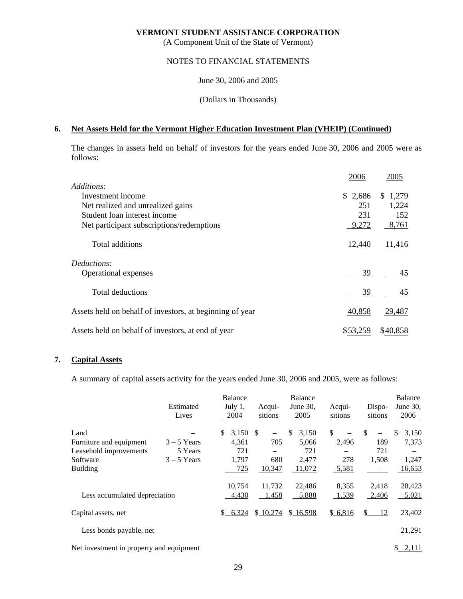(A Component Unit of the State of Vermont)

# NOTES TO FINANCIAL STATEMENTS

June 30, 2006 and 2005

(Dollars in Thousands)

# **6. Net Assets Held for the Vermont Higher Education Investment Plan (VHEIP) (Continued)**

 The changes in assets held on behalf of investors for the years ended June 30, 2006 and 2005 were as follows:

|                                                          | 2006        | 2005        |
|----------------------------------------------------------|-------------|-------------|
| Additions:                                               |             |             |
| Investment income                                        | 2,686<br>S. | 1,279<br>S. |
| Net realized and unrealized gains                        | 251         | 1,224       |
| Student loan interest income                             | 231         | 152         |
| Net participant subscriptions/redemptions                | 9,272       | 8,761       |
| Total additions                                          | 12,440      | 11,416      |
| Deductions:                                              |             |             |
| Operational expenses                                     | 39          | 45          |
| <b>Total deductions</b>                                  | 39          | 45          |
| Assets held on behalf of investors, at beginning of year | 40,858      | 29,487      |
| Assets held on behalf of investors, at end of year       | \$53,259    | \$40,858    |

# **7. Capital Assets**

A summary of capital assets activity for the years ended June 30, 2006 and 2005, were as follows:

|                                          |               | Balance          |                          | Balance     |         |            | <b>Balance</b> |
|------------------------------------------|---------------|------------------|--------------------------|-------------|---------|------------|----------------|
|                                          | Estimated     | July 1,          | Acqui-                   | June 30,    | Acqui-  | Dispo-     | June 30,       |
|                                          | Lives         | 2004             | sitions                  | 2005        | sitions | sitions    | 2006           |
| Land                                     |               | \$<br>$3,150$ \$ | $\overline{\phantom{0}}$ | \$<br>3,150 | \$      | S          | 3,150<br>\$    |
| Furniture and equipment                  | $3 - 5$ Years | 4,361            | 705                      | 5,066       | 2,496   | 189        | 7,373          |
| Leasehold improvements                   | 5 Years       | 721              |                          | 721         |         | 721        |                |
| Software                                 | $3 - 5$ Years | 1,797            | 680                      | 2,477       | 278     | 1,508      | 1,247          |
| <b>Building</b>                          |               | 725              | 10,347                   | 11,072      | 5,581   |            | 16,653         |
|                                          |               | 10.754           | 11,732                   | 22,486      | 8,355   | 2.418      | 28,423         |
| Less accumulated depreciation            |               | 4,430            | 1,458                    | 5,888       | 1,539   | 2,406      | 5,021          |
| Capital assets, net                      |               | \$6,324          | \$10,274                 | \$16,598    | \$6,816 | S.<br>- 12 | 23,402         |
| Less bonds payable, net                  |               |                  |                          |             |         |            | 21,291         |
| Net investment in property and equipment |               |                  |                          |             |         |            | 2,111<br>S.    |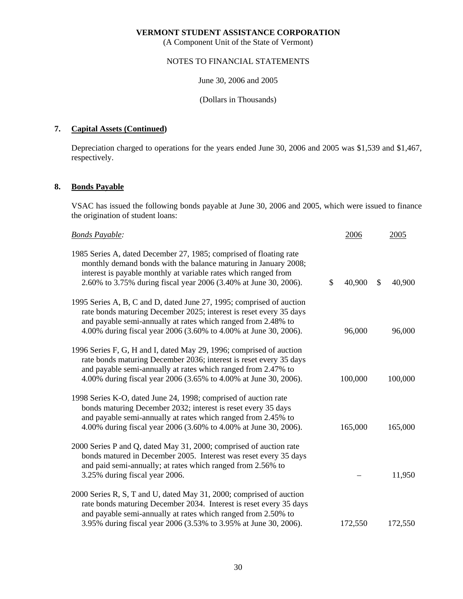(A Component Unit of the State of Vermont)

# NOTES TO FINANCIAL STATEMENTS

June 30, 2006 and 2005

(Dollars in Thousands)

# **7. Capital Assets (Continued)**

 Depreciation charged to operations for the years ended June 30, 2006 and 2005 was \$1,539 and \$1,467, respectively.

# **8. Bonds Payable**

 VSAC has issued the following bonds payable at June 30, 2006 and 2005, which were issued to finance the origination of student loans:

| <b>Bonds Payable:</b>                                                                                                                                                                                                                                                           | 2006         | 2005         |
|---------------------------------------------------------------------------------------------------------------------------------------------------------------------------------------------------------------------------------------------------------------------------------|--------------|--------------|
| 1985 Series A, dated December 27, 1985; comprised of floating rate<br>monthly demand bonds with the balance maturing in January 2008;<br>interest is payable monthly at variable rates which ranged from<br>2.60% to 3.75% during fiscal year 2006 (3.40% at June 30, 2006).    | \$<br>40,900 | \$<br>40,900 |
| 1995 Series A, B, C and D, dated June 27, 1995; comprised of auction<br>rate bonds maturing December 2025; interest is reset every 35 days<br>and payable semi-annually at rates which ranged from 2.48% to<br>4.00% during fiscal year 2006 (3.60% to 4.00% at June 30, 2006). | 96,000       | 96,000       |
| 1996 Series F, G, H and I, dated May 29, 1996; comprised of auction<br>rate bonds maturing December 2036; interest is reset every 35 days<br>and payable semi-annually at rates which ranged from 2.47% to<br>4.00% during fiscal year 2006 (3.65% to 4.00% at June 30, 2006).  | 100,000      | 100,000      |
| 1998 Series K-O, dated June 24, 1998; comprised of auction rate<br>bonds maturing December 2032; interest is reset every 35 days<br>and payable semi-annually at rates which ranged from 2.45% to<br>4.00% during fiscal year 2006 (3.60% to 4.00% at June 30, 2006).           | 165,000      | 165,000      |
| 2000 Series P and Q, dated May 31, 2000; comprised of auction rate<br>bonds matured in December 2005. Interest was reset every 35 days<br>and paid semi-annually; at rates which ranged from 2.56% to<br>3.25% during fiscal year 2006.                                         |              | 11,950       |
| 2000 Series R, S, T and U, dated May 31, 2000; comprised of auction<br>rate bonds maturing December 2034. Interest is reset every 35 days<br>and payable semi-annually at rates which ranged from 2.50% to<br>3.95% during fiscal year 2006 (3.53% to 3.95% at June 30, 2006).  | 172,550      | 172,550      |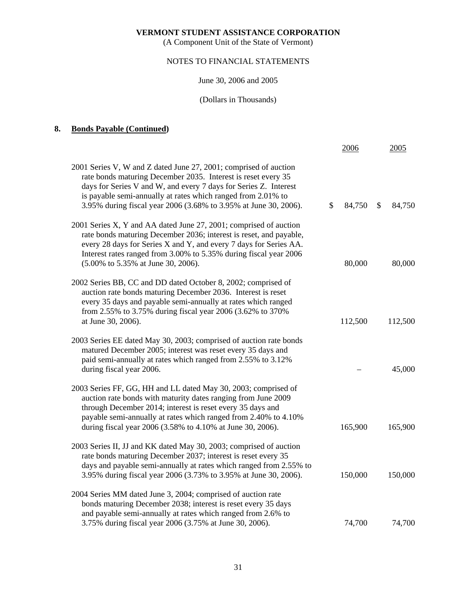(A Component Unit of the State of Vermont)

# NOTES TO FINANCIAL STATEMENTS

June 30, 2006 and 2005

(Dollars in Thousands)

# **8. Bonds Payable (Continued)**

|                                                                                                                                                                                                                                                                                                                                           | 2006         |               | 2005    |
|-------------------------------------------------------------------------------------------------------------------------------------------------------------------------------------------------------------------------------------------------------------------------------------------------------------------------------------------|--------------|---------------|---------|
| 2001 Series V, W and Z dated June 27, 2001; comprised of auction<br>rate bonds maturing December 2035. Interest is reset every 35<br>days for Series V and W, and every 7 days for Series Z. Interest<br>is payable semi-annually at rates which ranged from 2.01% to<br>3.95% during fiscal year 2006 (3.68% to 3.95% at June 30, 2006). | \$<br>84,750 | $\mathcal{S}$ | 84,750  |
| 2001 Series X, Y and AA dated June 27, 2001; comprised of auction<br>rate bonds maturing December 2036; interest is reset, and payable,<br>every 28 days for Series X and Y, and every 7 days for Series AA.<br>Interest rates ranged from 3.00% to 5.35% during fiscal year 2006<br>(5.00% to 5.35% at June 30, 2006).                   | 80,000       |               | 80,000  |
| 2002 Series BB, CC and DD dated October 8, 2002; comprised of<br>auction rate bonds maturing December 2036. Interest is reset<br>every 35 days and payable semi-annually at rates which ranged<br>from 2.55% to 3.75% during fiscal year 2006 (3.62% to 370%<br>at June 30, 2006).                                                        | 112,500      |               | 112,500 |
| 2003 Series EE dated May 30, 2003; comprised of auction rate bonds<br>matured December 2005; interest was reset every 35 days and<br>paid semi-annually at rates which ranged from 2.55% to 3.12%<br>during fiscal year 2006.                                                                                                             |              |               | 45,000  |
| 2003 Series FF, GG, HH and LL dated May 30, 2003; comprised of<br>auction rate bonds with maturity dates ranging from June 2009<br>through December 2014; interest is reset every 35 days and<br>payable semi-annually at rates which ranged from 2.40% to 4.10%<br>during fiscal year 2006 (3.58% to 4.10% at June 30, 2006).            | 165,900      |               | 165,900 |
| 2003 Series II, JJ and KK dated May 30, 2003; comprised of auction<br>rate bonds maturing December 2037; interest is reset every 35<br>days and payable semi-annually at rates which ranged from 2.55% to<br>3.95% during fiscal year 2006 (3.73% to 3.95% at June 30, 2006).                                                             | 150,000      |               | 150,000 |
| 2004 Series MM dated June 3, 2004; comprised of auction rate<br>bonds maturing December 2038; interest is reset every 35 days<br>and payable semi-annually at rates which ranged from 2.6% to<br>3.75% during fiscal year 2006 (3.75% at June 30, 2006).                                                                                  | 74,700       |               | 74,700  |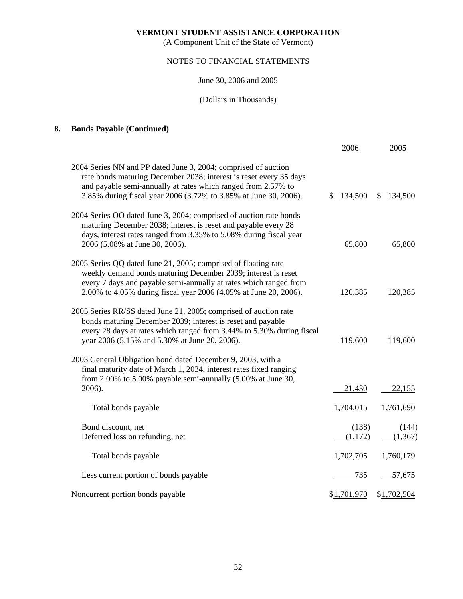(A Component Unit of the State of Vermont)

# NOTES TO FINANCIAL STATEMENTS

June 30, 2006 and 2005

# (Dollars in Thousands)

# **8. Bonds Payable (Continued)**

|                                                                                                                                                                                                                                                                           | 2006             | 2005              |
|---------------------------------------------------------------------------------------------------------------------------------------------------------------------------------------------------------------------------------------------------------------------------|------------------|-------------------|
| 2004 Series NN and PP dated June 3, 2004; comprised of auction<br>rate bonds maturing December 2038; interest is reset every 35 days<br>and payable semi-annually at rates which ranged from 2.57% to<br>3.85% during fiscal year 2006 (3.72% to 3.85% at June 30, 2006). | 134,500<br>\$    | 134,500<br>\$     |
| 2004 Series OO dated June 3, 2004; comprised of auction rate bonds<br>maturing December 2038; interest is reset and payable every 28<br>days, interest rates ranged from 3.35% to 5.08% during fiscal year<br>2006 (5.08% at June 30, 2006).                              | 65,800           | 65,800            |
| 2005 Series QQ dated June 21, 2005; comprised of floating rate<br>weekly demand bonds maturing December 2039; interest is reset<br>every 7 days and payable semi-annually at rates which ranged from<br>2.00% to 4.05% during fiscal year 2006 (4.05% at June 20, 2006).  | 120,385          | 120,385           |
| 2005 Series RR/SS dated June 21, 2005; comprised of auction rate<br>bonds maturing December 2039; interest is reset and payable<br>every 28 days at rates which ranged from 3.44% to 5.30% during fiscal<br>year 2006 (5.15% and 5.30% at June 20, 2006).                 | 119,600          | 119,600           |
| 2003 General Obligation bond dated December 9, 2003, with a<br>final maturity date of March 1, 2034, interest rates fixed ranging<br>from 2.00% to 5.00% payable semi-annually (5.00% at June 30,<br>2006).                                                               | 21,430           | 22,155            |
|                                                                                                                                                                                                                                                                           |                  |                   |
| Total bonds payable                                                                                                                                                                                                                                                       | 1,704,015        | 1,761,690         |
| Bond discount, net<br>Deferred loss on refunding, net                                                                                                                                                                                                                     | (138)<br>(1,172) | (144)<br>(1, 367) |
| Total bonds payable                                                                                                                                                                                                                                                       | 1,702,705        | 1,760,179         |
| Less current portion of bonds payable                                                                                                                                                                                                                                     | 735              | 57,675            |
| Noncurrent portion bonds payable                                                                                                                                                                                                                                          | \$1,701,970      | \$1,702,504       |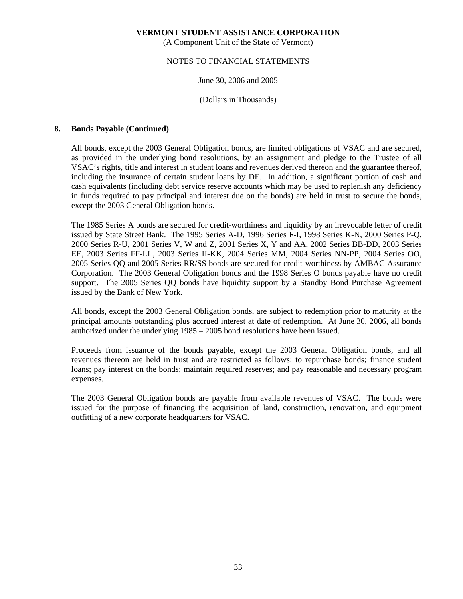(A Component Unit of the State of Vermont)

## NOTES TO FINANCIAL STATEMENTS

June 30, 2006 and 2005

(Dollars in Thousands)

## **8. Bonds Payable (Continued)**

 All bonds, except the 2003 General Obligation bonds, are limited obligations of VSAC and are secured, as provided in the underlying bond resolutions, by an assignment and pledge to the Trustee of all VSAC's rights, title and interest in student loans and revenues derived thereon and the guarantee thereof, including the insurance of certain student loans by DE. In addition, a significant portion of cash and cash equivalents (including debt service reserve accounts which may be used to replenish any deficiency in funds required to pay principal and interest due on the bonds) are held in trust to secure the bonds, except the 2003 General Obligation bonds.

 The 1985 Series A bonds are secured for credit-worthiness and liquidity by an irrevocable letter of credit issued by State Street Bank. The 1995 Series A-D, 1996 Series F-I, 1998 Series K-N, 2000 Series P-Q, 2000 Series R-U, 2001 Series V, W and Z, 2001 Series X, Y and AA, 2002 Series BB-DD, 2003 Series EE, 2003 Series FF-LL, 2003 Series II-KK, 2004 Series MM, 2004 Series NN-PP, 2004 Series OO, 2005 Series QQ and 2005 Series RR/SS bonds are secured for credit-worthiness by AMBAC Assurance Corporation. The 2003 General Obligation bonds and the 1998 Series O bonds payable have no credit support. The 2005 Series QQ bonds have liquidity support by a Standby Bond Purchase Agreement issued by the Bank of New York.

 All bonds, except the 2003 General Obligation bonds, are subject to redemption prior to maturity at the principal amounts outstanding plus accrued interest at date of redemption. At June 30, 2006, all bonds authorized under the underlying 1985 – 2005 bond resolutions have been issued.

 Proceeds from issuance of the bonds payable, except the 2003 General Obligation bonds, and all revenues thereon are held in trust and are restricted as follows: to repurchase bonds; finance student loans; pay interest on the bonds; maintain required reserves; and pay reasonable and necessary program expenses.

 The 2003 General Obligation bonds are payable from available revenues of VSAC. The bonds were issued for the purpose of financing the acquisition of land, construction, renovation, and equipment outfitting of a new corporate headquarters for VSAC.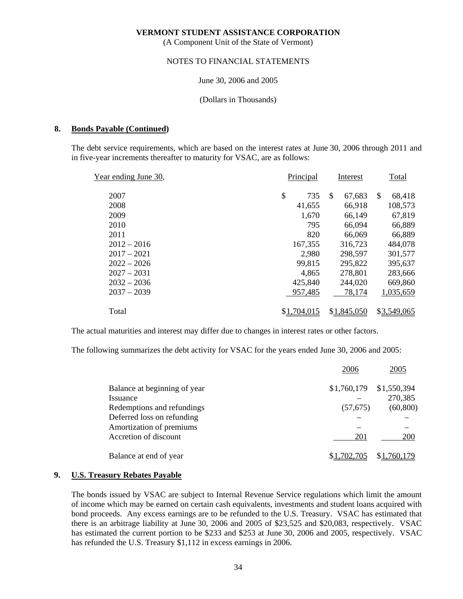(A Component Unit of the State of Vermont)

#### NOTES TO FINANCIAL STATEMENTS

June 30, 2006 and 2005

(Dollars in Thousands)

#### **8. Bonds Payable (Continued)**

 The debt service requirements, which are based on the interest rates at June 30, 2006 through 2011 and in five-year increments thereafter to maturity for VSAC, are as follows:

| Year ending June 30, | Principal   | Interest      | Total                   |
|----------------------|-------------|---------------|-------------------------|
| 2007                 | \$<br>735   | 67,683<br>\$. | 68,418<br><sup>\$</sup> |
| 2008                 | 41,655      | 66,918        | 108,573                 |
| 2009                 | 1,670       | 66,149        | 67,819                  |
| 2010                 | 795         | 66,094        | 66,889                  |
| 2011                 | 820         | 66,069        | 66,889                  |
| $2012 - 2016$        | 167,355     | 316,723       | 484,078                 |
| $2017 - 2021$        | 2,980       | 298,597       | 301,577                 |
| $2022 - 2026$        | 99,815      | 295,822       | 395,637                 |
| $2027 - 2031$        | 4,865       | 278,801       | 283,666                 |
| $2032 - 2036$        | 425,840     | 244,020       | 669,860                 |
| $2037 - 2039$        | 957,485     | 78,174        | 1,035,659               |
| Total                | \$1,704,015 | \$1,845,050   | \$3,549,065             |

The actual maturities and interest may differ due to changes in interest rates or other factors.

The following summarizes the debt activity for VSAC for the years ended June 30, 2006 and 2005:

|                              | 2006        | 2005        |
|------------------------------|-------------|-------------|
| Balance at beginning of year | \$1,760,179 | \$1,550,394 |
| Issuance                     |             | 270,385     |
| Redemptions and refundings   | (57, 675)   | (60, 800)   |
| Deferred loss on refunding   |             |             |
| Amortization of premiums     |             |             |
| Accretion of discount        | 201         | 200         |
| Balance at end of year       | \$1,702,705 | \$1,760,179 |

## **9. U.S. Treasury Rebates Payable**

 The bonds issued by VSAC are subject to Internal Revenue Service regulations which limit the amount of income which may be earned on certain cash equivalents, investments and student loans acquired with bond proceeds. Any excess earnings are to be refunded to the U.S. Treasury. VSAC has estimated that there is an arbitrage liability at June 30, 2006 and 2005 of \$23,525 and \$20,083, respectively. VSAC has estimated the current portion to be \$233 and \$253 at June 30, 2006 and 2005, respectively. VSAC has refunded the U.S. Treasury \$1,112 in excess earnings in 2006.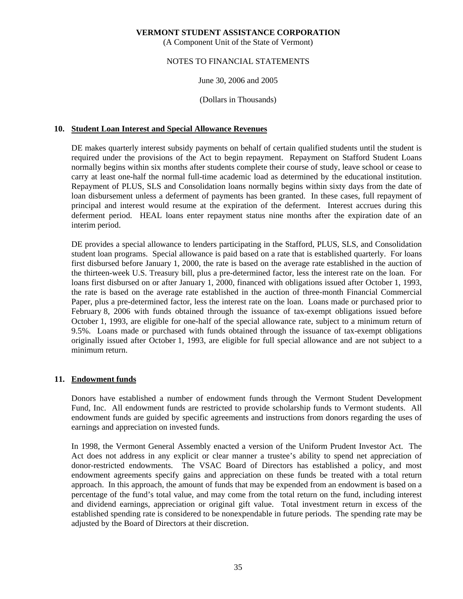(A Component Unit of the State of Vermont)

## NOTES TO FINANCIAL STATEMENTS

June 30, 2006 and 2005

(Dollars in Thousands)

# **10. Student Loan Interest and Special Allowance Revenues**

 DE makes quarterly interest subsidy payments on behalf of certain qualified students until the student is required under the provisions of the Act to begin repayment. Repayment on Stafford Student Loans normally begins within six months after students complete their course of study, leave school or cease to carry at least one-half the normal full-time academic load as determined by the educational institution. Repayment of PLUS, SLS and Consolidation loans normally begins within sixty days from the date of loan disbursement unless a deferment of payments has been granted. In these cases, full repayment of principal and interest would resume at the expiration of the deferment. Interest accrues during this deferment period. HEAL loans enter repayment status nine months after the expiration date of an interim period.

 DE provides a special allowance to lenders participating in the Stafford, PLUS, SLS, and Consolidation student loan programs. Special allowance is paid based on a rate that is established quarterly. For loans first disbursed before January 1, 2000, the rate is based on the average rate established in the auction of the thirteen-week U.S. Treasury bill, plus a pre-determined factor, less the interest rate on the loan. For loans first disbursed on or after January 1, 2000, financed with obligations issued after October 1, 1993, the rate is based on the average rate established in the auction of three-month Financial Commercial Paper, plus a pre-determined factor, less the interest rate on the loan. Loans made or purchased prior to February 8, 2006 with funds obtained through the issuance of tax-exempt obligations issued before October 1, 1993, are eligible for one-half of the special allowance rate, subject to a minimum return of 9.5%. Loans made or purchased with funds obtained through the issuance of tax-exempt obligations originally issued after October 1, 1993, are eligible for full special allowance and are not subject to a minimum return.

# **11. Endowment funds**

 Donors have established a number of endowment funds through the Vermont Student Development Fund, Inc. All endowment funds are restricted to provide scholarship funds to Vermont students. All endowment funds are guided by specific agreements and instructions from donors regarding the uses of earnings and appreciation on invested funds.

 In 1998, the Vermont General Assembly enacted a version of the Uniform Prudent Investor Act. The Act does not address in any explicit or clear manner a trustee's ability to spend net appreciation of donor-restricted endowments. The VSAC Board of Directors has established a policy, and most endowment agreements specify gains and appreciation on these funds be treated with a total return approach. In this approach, the amount of funds that may be expended from an endowment is based on a percentage of the fund's total value, and may come from the total return on the fund, including interest and dividend earnings, appreciation or original gift value. Total investment return in excess of the established spending rate is considered to be nonexpendable in future periods. The spending rate may be adjusted by the Board of Directors at their discretion.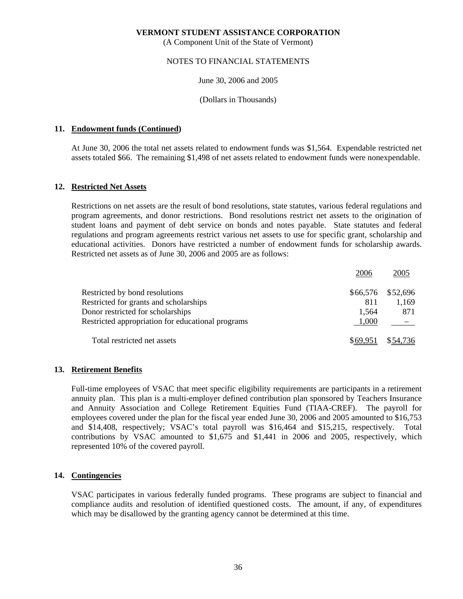(A Component Unit of the State of Vermont)

#### NOTES TO FINANCIAL STATEMENTS

June 30, 2006 and 2005

(Dollars in Thousands)

# **11. Endowment funds (Continued)**

 At June 30, 2006 the total net assets related to endowment funds was \$1,564. Expendable restricted net assets totaled \$66. The remaining \$1,498 of net assets related to endowment funds were nonexpendable.

# **12. Restricted Net Assets**

 Restrictions on net assets are the result of bond resolutions, state statutes, various federal regulations and program agreements, and donor restrictions. Bond resolutions restrict net assets to the origination of student loans and payment of debt service on bonds and notes payable. State statutes and federal regulations and program agreements restrict various net assets to use for specific grant, scholarship and educational activities. Donors have restricted a number of endowment funds for scholarship awards. Restricted net assets as of June 30, 2006 and 2005 are as follows:

|                                                   | 2006     | 2005     |
|---------------------------------------------------|----------|----------|
| Restricted by bond resolutions                    | \$66,576 | \$52,696 |
| Restricted for grants and scholarships            | 811      | 1,169    |
| Donor restricted for scholarships                 | 1,564    | 871      |
| Restricted appropriation for educational programs | 1,000    |          |
| Total restricted net assets                       | \$69.95' | \$54.736 |

#### **13. Retirement Benefits**

 Full-time employees of VSAC that meet specific eligibility requirements are participants in a retirement annuity plan. This plan is a multi-employer defined contribution plan sponsored by Teachers Insurance and Annuity Association and College Retirement Equities Fund (TIAA-CREF). The payroll for employees covered under the plan for the fiscal year ended June 30, 2006 and 2005 amounted to \$16,753 and \$14,408, respectively; VSAC's total payroll was \$16,464 and \$15,215, respectively. Total contributions by VSAC amounted to \$1,675 and \$1,441 in 2006 and 2005, respectively, which represented 10% of the covered payroll.

# **14. Contingencies**

 VSAC participates in various federally funded programs. These programs are subject to financial and compliance audits and resolution of identified questioned costs. The amount, if any, of expenditures which may be disallowed by the granting agency cannot be determined at this time.